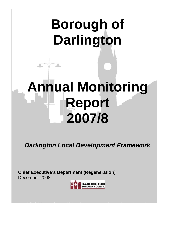

*Darlington Local Development Framework* 

**Chief Executive's Department (Regeneration**) December 2008

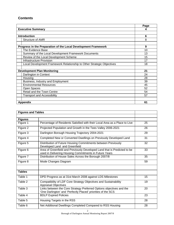## **Contents**

|                                                                        | Page |
|------------------------------------------------------------------------|------|
| <b>Executive Summary</b>                                               | 4    |
|                                                                        |      |
| Introduction                                                           | 6    |
| Structure of AMR                                                       | 8    |
|                                                                        |      |
| Progress in the Preparation of the Local Development Framework         | 9    |
| The Evidence Base                                                      | 10   |
| Summary of the Local Development Framework Documents                   | 13   |
| Review of the Local Development Scheme                                 | 15   |
| Infrastructure Provision                                               | 17   |
| Local Development Framework Relationship to Other Strategic Objectives | 18   |
|                                                                        |      |
| <b>Development Plan Monitoring</b>                                     | 21   |
| Darlington in Context                                                  | 24   |
| Housing                                                                | 28   |
| Business, Industry and Employment                                      | 39   |
| <b>Environmental Resources</b>                                         | 45   |
| Open Spaces                                                            | 52   |
| Retail and the Town Centre                                             | 54   |
| <b>Transport and Accessibility</b>                                     | 57   |
|                                                                        |      |
| <b>Appendix</b>                                                        | 61   |

| <b>Figures and Tables</b> |                                                                                                                                       |    |
|---------------------------|---------------------------------------------------------------------------------------------------------------------------------------|----|
|                           |                                                                                                                                       |    |
| <b>Figures</b>            |                                                                                                                                       |    |
| Figure 1                  | Percentage of Residents Satisfied with their Local Area as a Place to Live                                                            | 25 |
| Figure 2                  | Projected Population and Growth in the Tees Valley 2006-2021                                                                          | 26 |
| Figure 3                  | Darlington Borough Housing Trajectory 2004-2021                                                                                       | 29 |
| Figure 4                  | Completed New or Converted Dwellings on Previously Developed Land                                                                     | 31 |
| Figure 5                  | Distribution of Future Housing Commitments between Previously<br>Developed Land and Greenfield                                        | 32 |
| Figure 6                  | Area of Greenfield and Previously Developed Land that is Predicted to be<br>used in Delivering Housing Commitments in Future Years    | 33 |
| Figure 7                  | Distribution of House Sales Across the Borough 2007/8                                                                                 | 35 |
| Figure 8                  | Mode Changes Diagram                                                                                                                  | 59 |
| <b>Tables</b>             |                                                                                                                                       |    |
| Table 1                   | DPD Progress as at 31st March 2008 against LDS Milestones                                                                             | 15 |
| Table 2                   | Compatibility of LDF Core Strategy Objectives and Sustainability<br><b>Appraisal Objectives</b>                                       | 19 |
| Table 3                   | Links between the Core Strategy Preferred Options objectives and the<br>'One Darlington' and 'Perfectly Placed' priorities of the SCS | 20 |
| Table 4                   | <b>BDLP Expired Policies</b>                                                                                                          | 23 |
| Table 5                   | Housing Targets in the RSS                                                                                                            | 28 |
| Table 6                   | Net Additional Dwellings Completed Compared to RSS Housing                                                                            | 28 |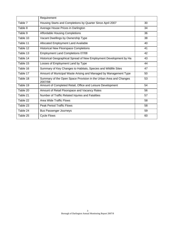|          | Requirement                                                                  |    |
|----------|------------------------------------------------------------------------------|----|
| Table 7  | Housing Starts and Completions by Quarter Since April 2007                   | 30 |
| Table 8  | Average House Prices in Darlington                                           | 34 |
| Table 9  | <b>Affordable Housing Completions</b>                                        | 36 |
| Table 10 | Vacant Dwellings by Ownership Type                                           | 38 |
| Table 11 | Allocated Employment Land Available                                          | 40 |
| Table 12 | <b>Historical New Floorspace Completions</b>                                 | 41 |
| Table 13 | <b>Employment Land Completions 07/08</b>                                     | 42 |
| Table 14 | Historical Geographical Spread of New Employment Development by Ha           | 43 |
| Table 15 | Losses of Employment Land by Type                                            | 44 |
| Table 16 | Summary of Key Changes to Habitats, Species and Wildlife Sites               | 47 |
| Table 17 | Amount of Municipal Waste Arising and Managed by Management Type             | 50 |
| Table 18 | Summary of the Open Space Provision in the Urban Area and Changes<br>2007/08 | 53 |
| Table 19 | Amount of Completed Retail, Office and Leisure Development                   | 54 |
| Table 20 | Amount of Retail Floorspace and Vacancy Rates                                | 56 |
| Table 21 | Number of Traffic Related Injuries and Fatalities                            | 57 |
| Table 22 | Area Wide Traffic Flows                                                      | 58 |
| Table 23 | <b>Peak Period Traffic Flows</b>                                             | 58 |
| Table 24 | <b>Bus Passenger Journeys</b>                                                | 59 |
| Table 25 | <b>Cycle Flows</b>                                                           | 60 |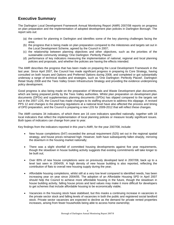# **Executive Summary**

The Darlington Local Development Framework Annual Monitoring Report (AMR) 2007/08 reports on progress on plan preparation and the implementation of adopted development plan policies in Darlington Borough. The report sets out:

- (a) the context for planning in Darlington and identifies some of the key planning challenges facing the area;
- (b) the progress that is being made on plan preparation compared to the milestones and targets set out in the Local Development Scheme, agreed by the Council in 2007;
- (c) the relationship between planning objectives and other objectives, such as the priorities of the sustainable community strategy 'One Darlington: Perfectly Placed';
- (d) performance of key indicators measuring the implementation of national, regional and local planning policies and proposals, and whether the policies are having the effects intended.

The AMR describes the progress that has been made on preparing the Local Development Framework in the last year. Since April 2007, the Council has made significant progress in preparing its Core Strategy, having consulted on both Issues and Options and Preferred Options during 2008, and completed or got substantially underway a range of technical studies and strategies, such as 'One Darlington: Perfectly Placed', Darlington Retail Study 2008 and the Tees Valley Green Infrastructure Strategy and providing the evidence underpinning policy development.

Good progress is also being made on the preparation of Minerals and Waste Development plan documents, which are being prepared jointly by the Tees Valley authorities. Whilst plan preparation on development plan documents (DPDs) and supplementary planning documents (SPDs) has slipped compared to the targets set out in the 2007 LDS, the Council has made changes to its staffing structure to address this slippage. A revised PPS 12 and changes to the planning regulations at a national level have also affected the process and timing of DPD preparation, and the Council is preparing a new LDS for 2009-2012 that will reflect these changes.

The AMR contains 34 indicators, of which there are 16 core indicators specified nationally, together with 18 local indicators that reflect the implementation of local planning policies or measure locally significant issues. Both types of indicators can change from year to year.

Key findings from the indicators reported in this year's AMR, for the year 2007/08, include:

- New house completions (547) exceeded the annual requirement (525) set out in the regional spatial strategy, and house prices remained high. However, both have subsequently fallen sharply, mirroring the downturn in the housing market nationally;
- There was a slight shortfall of committed housing developments against five year requirements, though the slowdown in house building activity suggests that existing commitments will take longer to be built out;
- Over 80% of new house completions were on previously developed land in 2007/08, back up to a level last seen in 2004/05. A high density of new house building is also reported, reflecting the contribution of flats to overall new housing supply during the year;
- Affordable housing completions, whilst still at a very low level compared to identified needs, has been increasing year on year since 2004/05. The adoption of an Affordable Housing SPD in April 2007 should help the Council to achieve more affordable housing in the future, though the slowdown in house building activity, falling house prices and land values may make it more difficult for developers to get schemes that include affordable housing to be economically viable;
- Vacancies in the housing stock have stabilised, but this masks a continuing increase in vacancies in the private sector stock and falling levels of vacancies in both the public and registered social landlord stock. Private sector vacancies are expected to decline as the demand for private rented properties increases, arising from fewer households being able to access home ownership;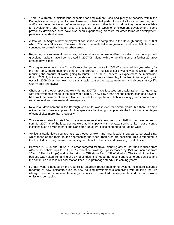- There is currently sufficient land allocated for employment uses and plenty of capacity within the Borough's main employment areas. However, substantial parts of current allocations are long term and/or are dependent upon infrastructure provision and other factors before they become available for development, and not all sites are suitable for all types of employment development. Some previously developed sites have also been experiencing pressure for other forms of development, particularly residential uses;
- A total of 8,605sqm of new employment floorspace was completed in the Borough during 2007/08 of which 75% was B1 offices. This was split almost equally between greenfield and brownfield land, and continued to be mainly in outer urban areas;
- Regarding environmental resources, additional areas of wetland/wet woodland and unimproved grassland habitats have been created in 2007/08, along with the identification of a further 20 great crested newt sites;
- The big improvement in the Council's recycling performance in 2006/07 continued this year when, for the first time, more than one-third of the Borough's municipal solid waste was recycled, further reducing the amount of waste going to landfill. The 2007/8 pattern is expected to be maintained during 2008/9, but another step-change shift up the waste hierarchy, from landfill to recycling, will occur in 2009/10 as the new, more sustainable contract for waste treatment and disposal at Aycliffe Quarry gets underway;
- Changes to the open space network during 2007/08 have focussed on quality rather than quantity, with improvements made to the quality of 4 parks, 3 new play areas and the construction of a downhill bike track. Improvements have also been made to footpaths and habitats along green corridors and within natural and semi-natural greenspaces;
- New retail development in the Borough was at its lowest level for several years, but there is some evidence that some occupiers of office space are beginning to appreciate the locational advantages of central sites more than previously;
- The vacancy rates for retail floorspace remains relatively low, less than 10% in the town centre. In summer 2007, all of the local centres were at full capacity with no vacant units. Units in out of centre locations such as Morton park and Darlington Retail Park also seemed to be trading well;
- Vehicular traffic flows counted at urban, edge of town and rural locations appear to be stabilising, whilst those on the radial routes approaching the inner urban area are declining. This is attributed to the Local Motion programme, persuading people out of their car and providing travel choice;
- Between 2004/05 and 2006/07, in areas targeted for travel planning advice, car trips reduced from 41% of household trips to 37%, a 9% reduction. Walking trips increased by 15% (an increase from 25% to 29% of all trips) and cycling trips by 65% (from 1% to 2% of all trips). The trend of decline in bus use was halted, remaining at 12% of all trips. It is hoped that recent changes to bus services and the continued success of Local Motion keep bus patronage steady it in coming years;
- Further work is needed by the Council to establish robust monitoring systems to ensure accurate reporting of new indicators such as new housing developments complying with Building for Life (design) standards, renewable energy capacity of permitted developments and carbon dioxide emissions per capita.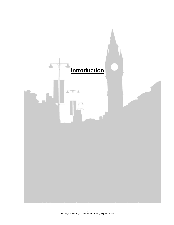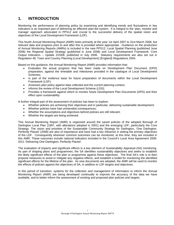# **1. INTRODUCTION**

Monitoring the performance of planning policy by examining and identifying trends and fluctuations in key indicators is an important part of delivering an effective plan-led system. It is integral to the 'plan, monitor and manage' approach advocated in PPS12 and crucial to the successful delivery of the spatial vision and objectives of the Local Development Framework (LDF).

This fourth Annual Monitoring Report (AMR) looks primarily at the year 1st April 2007 to 31st March 2008, but relevant data and progress prior to and after this is provided where appropriate. Guidance on the production of Annual Monitoring Reports (AMRs) is included in the new PPS12: Local Spatial Planning (published June 2008) the Regional Spatial Strategy (published in June 2008) and Local Development Framework: Core Output Indicators – Update 2/2008, published in July 2008. Statutory requirements are also set out in Regulation 48, Town and Country Planning (Local Development) (England) Regulations 2004.

Based on this guidance, the Annual Monitoring Report (AMR) provides information that:

- Evaluates the actual progress that has been made on Development Plan Document (DPD) preparation, against the timetable and milestones provided in the catalogue of Local Development Schemes;
- Is part of the evidence base for future preparation of documents within the Local Development Framework (LDF);
- Assesses plan policy against data collected and the current planning context;
- Informs the review of the Local Development Scheme (LDS):
- Provides a framework against which to monitor future Development Plan Documents (DPD) and their effect upon sustainability.

A further integral part of the assessment of policies has been to explore:

- Whether policies are achieving their objectives and in particular, delivering sustainable development;
- Whether policies have had unintended consequences;
- Whether the assumptions and objectives behind policies are still relevant;
- Whether the targets are being achieved.

This Annual Monitoring Report (AMR) is organised around the saved policies of the adopted Borough of Darlington Local Plan (1997, with alterations adopted in 2001) and the emerging LDF, particularly the Core Strategy. The vision and priorities of the Sustainable Community Strategy for Darlington, 'One Darlington: Perfectly Placed' (2008) are also of importance and have had a key influence in setting the primary objectives of the LDF. Consequently wherever common outcomes can be monitored, at this time, they are included in this AMR. These outcomes include national indicators included in the Council's Local Area Agreement 2008 2011 'Delivering One Darlington: Perfectly Placed'.

The evaluation of impacts and significant effects is a key element of Sustainability Appraisal (SA) monitoring. As part of shaping plans and programmes, the SA identifies sustainability objectives and seeks to establish the likely significant effects of the plan or programme against these objectives. The final SA's role is to then propose measures to avoid or mitigate any negative effects, and establish a toolkit for monitoring the identified significant effects for the lifetime of the plan. As new documents are adopted, the AMR will be used to monitor the effects of policies against the objectives of SA, in addition to LDF targets and objectives.

In this period of transition, systems for the collection and management of information to inform the Annual Monitoring Report (AMR) are being developed continually to improve the accuracy of the data we have available, and to better inform the assessment of existing and proposed plan policies and targets.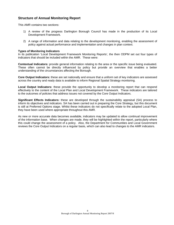## **Structure of Annual Monitoring Report**

This AMR contains two sections:

- 1) A review of the progress Darlington Borough Council has made in the production of its Local Development Framework.
- 2) A range of information and data relating to the development monitoring, enabling the assessment of policy against actual performance and implementation and changes in plan context.

## **Types of Monitoring Indicators**

In its publication 'Local Development Framework Monitoring Reports', the then ODPM set out four types of indicators that should be included within the AMR. These were:

**Contextual Indicators:** provide general information relating to the area or the specific issue being evaluated. These often cannot be directly influenced by policy but provide an overview that enables a better understanding of the circumstances affecting the Borough.

**Core Output Indicators:** these are set nationally and ensure that a uniform set of key indicators are assessed across the country and ready data is available to inform Regional Spatial Strategy monitoring.

**Local Output Indicators:** these provide the opportunity to develop a monitoring report that can respond effectively to the content of the Local Plan and Local Development Framework. These indicators are tailored to the outcomes of policies that address issues not covered by the Core Output Indicators.

**Significant Effects Indicators:** these are developed through the sustainability appraisal (SA) process to inform its objectives and indicators. SA has been carried out in preparing the Core Strategy, but this document is still at Preferred Options stage. Whilst these indicators do not specifically relate to the adopted Local Plan, they have been used where appropriate throughout this AMR.

As new or more accurate data becomes available, indicators may be updated to allow continual improvement of the information base. When changes are made, they will be highlighted within the report, particularly where this could change the assessment of a policy. Also, the Department for Communities and Local Government reviews the Core Output Indicators on a regular basis, which can also lead to changes to the AMR indicators.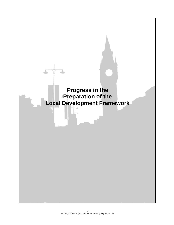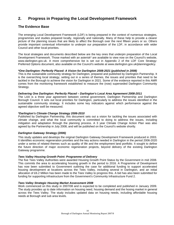## **2. Progress in Preparing the Local Development Framework**

## **The Evidence Base**

The emerging Local Development Framework (LDF) is being prepared in the context of numerous strategies, programmes and studies prepared locally, regionally and nationally. Many of these help to provide a clearer picture of the planning issues that are likely to affect the Borough over the next fifteen years or so. Others provide important contextual information to underpin our preparation of the LDF, in accordance with wider Council and other local priorities.

The local strategies and documents described below are the key ones that underpin preparation of the Local Development Framework. Those marked with an asterisk\* are available to view now on the Council's website, www.darlington.gov.uk. A more comprehensive list is set out in Appendix 2 of the LDF Core Strategy: Preferred Options document, also available on the Council's website at www.darlington.gov.uk/planningpolicy.

## *\*One Darlington: Perfectly Placed: A Vision for Darlington 2008-2021 (published in 2008)*

This is the sustainable community strategy for Darlington, prepared and published by Darlington Partnership. It is the overarching local strategy, setting out in a series of themes, the issues and priorities that need to be tackled in the Borough to achieve the vision for Darlington in 2021. Some of the evidence reported in this AMR comes from the monitoring framework established to measure the (now) superseded Darlington Community Strategy.

## *Delivering One Darlington: Perfectly Placed – Darlington's Local Area Agreement 2008-2011*

The LAA is a three year agreement between central government, Darlington Partnership and Darlington Borough Council. It sets out local priorities for Darlington, particularly to address the issues identified in the sustainable community strategy. It includes some key indicators against which performance against the agreed objective swill be measured.

## *\*Darlington's Climate Change Strategy 2006-2010*

Published by Darlington Partnership, this document sets out a vision for tackling the issues associated with climate change, and what the local community is committed to doing to address the issues, including mitigation and adaptation through the planning process. A 3 year Climate Change Action Plan was also agreed by the Partnership in July 2008, and will be published on the Council's website shortly.

## *Darlington Gateway Strategy (2006)*

This study updates and develops the original Darlington Gateway Development Framework produced in 2003. It identifies economic regeneration priorities and the key actions needed in Darlington in the period 2006-2020 under a series of related themes such as quality of life and the employment land portfolio. It sought to define the future direction of major economic regeneration projects, beyond delivery of the existing Darlington Gateway programme.

## *Tees Valley Housing Growth Point: Programme of Delivery*

The five Tees Valley Authorities were awarded Housing Growth Point Status by the Government in mid 2008. This commits the area to accelerating housing growth in the period to 2016. A Programme of Development has now been submitted to Government outlining the case for additional funding to support accelerated housing development at locations across the Tees Valley, including several in Darlington, and an initial allocation of £6.2 Million has been made to the Tees Valley to progress this. A bid has also been submitted for funding for supporting infrastructure from the Government's Community Infrastructure Fund 2.

## *Tees Valley Strategic Housing Market Assessment 2008*

Work commenced on this study in 2007/08 and is expected to be completed and published in January 2009. The study provides up to date information on housing need, housing demand and the hosing market in general across the Tees Valley. The study includes updated data on housing needs, including affordable housing needs at Borough and sub area levels.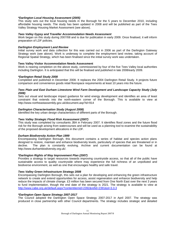## *\*Darlington Local Housing Assessment (2005)*

This study sets out the local housing needs in the Borough for the 5 years to December 2010, including affordable housing needs. The study has been updated in 2008 and will be published as part of the Tees Valley Strategy Housing Market Assessment (see above).

## *Tees Valley Gypsy and Traveller Accommodation Needs Assessment*

Work began on this study during 2007/08 and is due for publication in early 2009. Once finalised, it will inform preparation of LDF policies.

## *Darlington Employment Land Review*

Initial survey work and data collection for this was carried out in 2006 as part of the Darlington Gateway Strategy work (see above). Work is underway to complete the employment land review, taking account of Regional Spatial Strategy, which has been finalised since the initial survey work was undertaken.

## **Tees Valley Visitor Accommodation Needs Assessment**

Work is nearing completion on the above study, commissioned by four of the five Tees Valley local authorities including Darlington. It is anticipated that this will be finalised and published in late 2008/early 2009.

## *\*Darlington Retail Study 2008*

Completed and published in December 2008. It replaces the 2004 Darlington Retail Study. It projects future comparison and convenience goods retail floorspace requirements at least 10 years into the future.

## *Tees Plain and East Durham Limestone Wind Farm Development and Landscape Capacity Study (July 2008)*

Sets out visual and landscape impact guidance for wind energy development and identifies an area of least constraint that extends into the north-eastern corner of the Borough. This is available to view at http://www.northeastassembly.gov.uk/document.asp?id=914

## *Darlington Characterisation Study (August 2008)*

Identified the key urban design characteristics of different parts of the Borough.

## *Tees Valley Strategic Flood Risk Assessment (2007)*

This study was completed by consultants JBA in February 2007. It identifies flood zones and the future flood risk for the Borough arising from watercourses and will be used as a planning tool to examine the sustainability of the proposed development allocations in the LDF.

## *Durham Biodiversity Action Plan 1999*

Encompassing Darlington Borough, this document contains a series of habitat and species action plans designed to restore, maintain and enhance biodiversity levels, particularly of species that are threatened or in decline. The plan is constantly evolving. Archive and current documentation can be found at http://www.durhambiodiversity.org.uk/.

## *\*Darlington Rights of Way Improvement Plan (2007)*

Provides a strategy to target resources towards improving countryside access, so that all of the public have sustainable access to quality countryside where may experience the full richness of an unpolluted and biodiverse environment, as well as one that encourages healthy and safe travel.

## *Tees Valley Green Infrastructure Strategy 2008*

Encompassing Darlington Borough, this sets out a plan for developing and enhancing the green infrastructure network to create and extend opportunities for access, assist regeneration and enhance biodiversity and help reduce the impacts of climate change. £3 million has been secured from One North East over the next 3 years to fund implementation, though the end date of the strategy is 2021. The strategy is available to view at http://www.cabe.org.uk/default.aspx?contentitemid=2392&refid=2391&sl=3.3.3

## *\*Darlington Open Space Strategy 2007-2017*

The Council adopted the Darlington Open Space Strategy 2007-2017 in April 2007. The strategy was produced in close partnership with other Council departments. The strategy includes strategic and detailed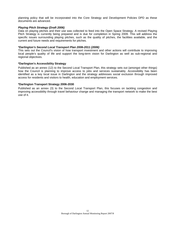planning policy that will be incorporated into the Core Strategy and Development Policies DPD as these documents are advanced.

## *Playing Pitch Strategy (Draft 2006)*

Data on playing pitches and their use was collected to feed into the Open Space Strategy. A revised Playing Pitch Strategy is currently being prepared and is due for completion in Spring 2009. This will address the specific issues surrounding playing pitches, such as the quality of pitches, the facilities available, and the current and future needs and requirements for pitches.

## *\*Darlington's Second Local Transport Plan 2006-2011 (2006)*

This sets out the Council's vision of how transport investment and other actions will contribute to improving local people's quality of life and support the long-term vision for Darlington as well as sub-regional and regional objectives.

## **\*Darlington's Accessibility Strategy**

Published as an annex (12) to the Second Local Transport Plan, this strategy sets out (amongst other things) how the Council is planning to improve access to jobs and services sustainably. Accessibility has been identified as a key local issue in Darlington and the strategy addresses social exclusion through improved access for residents and visitors to health, education and employment services.

## **\*Darlington Transport Strategy 2006-2030**

Published as an annex (3) to the Second Local Transport Plan, this focuses on tackling congestion and improving accessibility through travel behaviour change and managing the transport network to make the best use of it.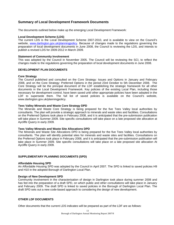## **Summary of Local Development Framework Documents**

The documents outlined below make up the emerging Local Development Framework:

## **Local Development Scheme (LDS)**

The current LDS is the Local Development Scheme 2007-2010, and is available to view on the Council's website, www.darlington.gov.uk/planningpolicy. Because of changes made to the regulations governing the preparation of local development documents in June 2008, the Council is reviewing the LDS, and intends to publish a revised LDS for 2009-2012 in March 2009.

## **Statement of Community Involvement**

This was adopted by the Council in November 2005. The Council will be reviewing the SCI, to reflect the changes made to the regulations governing the preparation of local development documents in June 2008.

## **DEVELOPMENT PLAN DOCUMENTS**

## **Core Strategy**

The Council published and consulted on the Core Strategy: Issues and Options in January and February 2008, and on the Core Strategy: Preferred Options in the period 23rd October to 5th December 2008. The Core Strategy will be the principal document of the LDF establishing the strategic framework for all other documents in the Local Development Framework. Key policies of the existing Local Plan, including those necessary for development control, have been saved until other appropriate policies have been adopted in the LDF to supersede them. The full list of saved policies is available on the Council's website, www.darlington.gov.uk/planningpolicy.

## **Tees Valley Minerals and Waste Core Strategy DPD**

The Minerals and Waste Core Strategy is being prepared for the five Tees Valley local authorities by consultants. The plan will provide a strategic approach to minerals and waste sites and facilities. Consultations on the Preferred Options took place in February 2008, and it is anticipated that the pre-submission publication will take place in Summer 2009. Site specific consultations will take place on a late proposed site allocation at Aycliffe Quarry in early 2009.

#### **Tees Valley Minerals and Waste Site Allocations DPD**

The Minerals and Waste Site Allocations DPD is being prepared for the five Tees Valley local authorities by consultants. The plan will identify potential sites for minerals and waste sites and facilities. Consultations on the Preferred Options took place in February 2008, and it is anticipated that the pre-submission publication will take place in Summer 2009. Site specific consultations will take place on a late proposed site allocation At Aycliffe Quarry in early 2009.

## **SUPPLEMENTARY PLANNING DOCUMENTS (SPD)**

#### **Affordable Housing SPD**

An Affordable Housing SPD was adopted by the Council in April 2007. The SPD is linked to saved policies H9 and H10 in the adopted Borough of Darlington Local Plan.

#### **Design of New Development SPD**

Community involvement in the characterisation of design in Darlington took place during summer 2008 and has fed into the preparation of a draft SPD, on which public and other consultations will take place in January and February 2009. The draft SPD is linked to saved policies in the Borough of Darlington Local Plan. The draft SPD sets out a new code-based approach to considering the design of new development.

## **OTHER LDF DOCUMENTS**

Other documents that the current LDS indicates will be prepared as part of the LDF are as follows: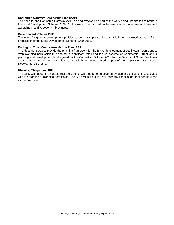## **Darlington Gateway Area Action Plan (AAP)**

The need for the Darlington Gateway AAP is being reviewed as part of the work being undertaken to prepare the Local Development Scheme 2009-12. It is likely to be focused on the town centre fringe area and renamed accordingly, and to cover a mix of uses.

## **Development Policies DPD**

The need for generic development policies to be in a separate document is being reviewed as part of the preparation of the Local Development Scheme 2009-2012.

## **Darlington Town Centre Area Action Plan (AAP)**

This document was to provide the planning framework for the future development of Darlington Town Centre. With planning permission in place for a significant retail and leisure scheme at Commercial Street and a planning and development brief agreed by the Cabinet in October 2008 for the Beaumont Street/Feethams area of the town, the need for this document is being reconsidered as part of the preparation of the Local Development Scheme.

## **Planning Obligations SPD**

This SPD will set out the matters that the Council will require to be covered by planning obligations associated with the granting of planning permission. The SPD will set out in detail how any financial or other contributions will be calculated.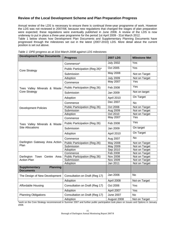## **Review of the Local Development Scheme and Plan Preparation Progress**

Annual review of the LDS is necessary to ensure there is continual three-year programme of work. However the LDS was not reviewed in 2007/08, because new regulations that changed the stages of plan preparation were expected; these regulations were eventually published in June 2008. A review of the LDS is now underway to put in place a three-year programme for the period 1st April 2009 - 31st March 2012.

Table 1 below shows how Development Plan Documents and Supplementary Planning Documents have progressed through the milestones set out in the latest (2007-2010) LDS. More detail about the current position is set out above.

| <b>Development Plan Documents</b>                           | <b>Progress</b>                | <b>2007 LDS</b>  | <b>Milestone Met</b> |
|-------------------------------------------------------------|--------------------------------|------------------|----------------------|
|                                                             | Commence*                      | <b>July 2002</b> | Yes                  |
| <b>Core Strategy</b>                                        | Public Participation (Reg 26)* | Oct 2005         | Yes                  |
|                                                             | Submission                     | May 2008         | Not on Target        |
|                                                             | Adoption                       | <b>July 2009</b> | Not on Target        |
|                                                             | Commence                       | <b>May 2007</b>  | Yes                  |
| Tees Valley Minerals & Waste                                | Public Participation (Reg 26)  | Feb 2008         | Yes                  |
| <b>Core Strategy</b>                                        | Submission                     | <b>Jan 2009</b>  | Not on target        |
|                                                             | Adoption                       | April 2010       | On Target            |
|                                                             | Commence                       | Dec 2007         | <b>No</b>            |
| <b>Development Policies</b>                                 | Public Participation (Reg 26)  | Oct 2008         | Not on Target        |
|                                                             | Submission                     | Aug 2009         | Not on Target        |
|                                                             | Adoption                       | Oct 2010         | Not on Target        |
|                                                             | Commence                       | May 2007         | Yes                  |
| Tees Valley Minerals & Waste                                | Public Participation (Reg 26)  | Feb 2008         | Yes                  |
| <b>Site Allocations</b>                                     | Submission                     | Jan 2009         | On target            |
|                                                             | Adoption                       | April 2010       | On Target            |
|                                                             | Commence                       | Aug 2007         | N <sub>o</sub>       |
| Darlington Gateway Area Action                              | Public Participation (Reg 26)  | May 2008         | Not on Target        |
| Plan                                                        | Submission                     | <b>May 2009</b>  | Not on Target        |
|                                                             | Adoption                       | Sep 2010         | Not on Target        |
|                                                             | Commence                       | Feb 2008         | Not on Target        |
| Darlington Town Centre Area                                 | Public Participation (Reg 26)  | <b>Nov 2008</b>  | Not on Target        |
| <b>Action Plan</b>                                          | Submission                     | <b>Nov 2009</b>  | Not on Target        |
|                                                             | Adoption                       | Jan 2011         | Not on Target        |
| <b>Planning</b><br><b>Supplementary</b><br><b>Documents</b> |                                |                  |                      |
| The Design of New Development                               | Consultation on Draft (Reg 17) | Jan 2006         | <b>No</b>            |
|                                                             | Adoption                       | April 2008       | Not on Target        |
| Affordable Housing                                          | Consultation on Draft (Reg 17) | Oct 2006         | Yes                  |
|                                                             | Adoption                       | April 2007       | Yes                  |
| <b>Planning Obligations</b>                                 | Consultation on Draft (Reg 17) | June 2007        | <b>No</b>            |
|                                                             | Adoption                       | August 2008      | Not on Target        |

*Table 1: DPD progress as at 31st March 2008 against LDS milestones* 

\*work on the Core Strategy recommenced in Summer 2007 and further public participation took place on Issues and Options in January 2008.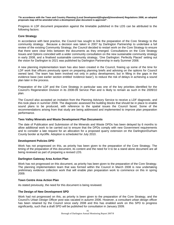**\*\*In accordance with the Town and Country Planning (Local Development)(England)(Amendment) Regulations 2008, an adopted proposals map will be amended when a development plan document is approved".** 

Progress in LDF document preparation against the timetable published in the LDS can be attributed to the following factors:

## **Core Strategy**

In accordance with best practice, the Council has sought to link the preparation of the Core Strategy to the community strategy. Because a decision was taken in 2007 by Darlington Partnership to undertake a full review of the existing Community Strategy, the Council decided to restart work on the Core Strategy to ensure that there were clear links between the documents as they emerged. Consultations on the Core Strategy Issues and Options coincided with a wider community consultation on the new sustainable community strategy in early 2008, and a finalised sustainable community strategy, 'One Darlington: Perfectly Placed' setting out the vision for Darlington to 2021 was published by Darlington Partnership in early Summer 2008.

A new planning implementation team has also been created in the Council, freeing up some of the time for LDF work that officers previously spent on preparing planning briefs and advising on the options for Council owned land. The team has been involved not only in policy development, but in filling in the gaps in the evidence base (see earlier section entitled 'evidence base'), to reduce the risk of delays in achieving a sound plan later in the process.

Preparation of the LDF and the Core Strategy in particular was one of the key priorities identified for the Council's Regeneration Division in its 2008-09 Service Plan and is likely to remain as such in the 2009/10 plan.

The Council also accepted an invitation from the Planning Advisory Service to receive a LDF diagnostic, and this took place in summer 2008. The diagnostic assessed the building blocks that should be in place to enable sound plans to be produced, with reference to the spatial issues the Council faced. Some of the recommendations arising from that study are being addressed and implemented to improve plan preparation performance.

## **Tees Valley Minerals and Waste Development Plan Documents**

The date of Publication and Submission of the Minerals and Waste DPDs has been delayed by 6 months to allow additional work to be carried out to ensure that the DPDs comply with new Government requirements and to consider a late request for an allocation for a proposed quarry extension on the Darlington/Durham County border at Aycliffe. Adoption is scheduled for July 2010.

## **Development Policies DPD**

Work has not progressed on this, as priority has been given to the preparation of the Core Strategy. The timing of the preparation of this document, its content and the need for it to be a stand alone document are all being reviewed as part of preparing a revised LDS.

## **Darlington Gateway Area Action Plan**

Work has not progressed on this document, as priority has been given to the preparation of the Core Strategy. The planning implementation team that was formed within the Council in March 2008 is now undertaking preliminary evidence collection work that will enable plan preparation work to commence on this in spring 2009.

## **Town Centre Area Action Plan**

As stated previously, the need for this document is being reviewed.

## **The Design of New Development SPD**

Work had not progressed on this, as priority is been given to the preparation of the Core Strategy, and the Council's Urban Design Officer post was vacated in autumn 2006. However, a consultant urban design officer has been retained by the Council since early 2008 and this has enabled work on this SPD to progress significantly, such that a draft SPD will be published for consultation in January 2009.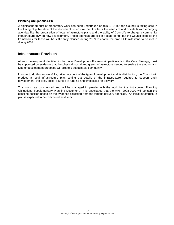## **Planning Obligations SPD**

A significant amount of preparatory work has been undertaken on this SPD, but the Council is taking care in the timing of publication of this document, to ensure that it reflects the needs of and dovetails with emerging agendas like the preparation of local infrastructure plans and the ability of Council's to charge a community infrastructure levy on new development. These agendas are still in a state of flux but the Council expects the frameworks for these will be sufficiently clarified during 2009 to enable the draft SPD milestone to be met in during 2009.

## **Infrastructure Provision**

All new development identified in the Local Development Framework, particularly in the Core Strategy, must be supported by evidence that the physical, social and green infrastructure needed to enable the amount and type of development proposed will create a sustainable community.

In order to do this successfully, taking account of the type of development and its distribution, the Council will produce a local infrastructure plan setting out details of the infrastructure required to support each development, the likely costs, sources of funding and timescales for delivery.

This work has commenced and will be managed in parallel with the work for the forthcoming Planning Obligations Supplementary Planning Document. It is anticipated that the AMR 2008-2009 will contain the baseline position based on the evidence collection from the various delivery agencies. An initial infrastructure plan is expected to be completed next year.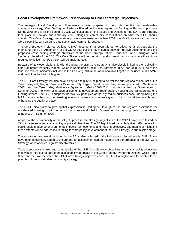## **Local Development Framework Relationship to Other Strategic Objectives**

The emerging Local Development Framework is being prepared in the context of the new sustainable community strategy 'One Darlington: Perfectly Placed' which was agreed by Darlington Partnership in late Spring 2008 and is for the period to 2021. Consultations on the Issues and Options for the LDF Core Strategy took place in January and February 2008, alongside community consultations on what the SCS should contain. The Core Strategy preparation process was restarted in late 2007 specifically to ensure that there were close links with an up to date sustainable community strategy.

The Core Strategy: Preferred Options (CSPO) document has been laid out to reflect, as far as possible, the themes of the SCS. Appendix 4 of the CSPO sets out the key linkages between the two documents, and the proposed cross cutting strategic objectives of the Core Strategy reflect 2 priorities, 'one Darlington', and 'perfectly placed' of the SCS. The Core Strategy will be the principal document that shows where the actions required to deliver the SCS vision will be implemented.

Because of its close relationship with the SCS, the LDF Core Strategy is also closely linked to the 'Delivering One Darlington: Perfectly Placed', which is Darlington's Local Area Agreement (LAA) for 2008-2011. All of the land use related indicators included in the LAA (e.g. NI154 net additional dwellings) are included in this AMR, and the link to the LAA highlighted.

The LDF Core Strategy will also have a key role to play in helping to deliver the sub-regional vision, set out in Tees Valley City Region Business Case and City Region Development Programme (prepared in September 2006), and the Tees Valley Multi Area Agreement (MAA) 2008-2011, that was agreed by Government in Summer 2008. The MAA joins together economic development, regeneration, housing and transport into one funding stream. The CSPO supports the two key principles of the city region business case underpinning the MAA, namely enhancing our existing economic assets and improving our urban competitiveness through enhancing the quality of place.

The CSPO also starts to give spatial expression in Darlington Borough to the sub-region's aspirations for accelerated housing growth, as set out in its successful bid to Government for housing growth point status, announced in Summer 2008.

As part of the sustainability appraisal (SA) process, the strategic objectives of the CSPO have been tested for 'fit' with a series of ten sustainability appraisal objectives. The SA highlighted particularly that traffic generation could result in adverse environmental impacts from economic and housing objectives, and means of mitigating these effects will be addressed in taking forward policy development of the Core Strategy to submission stage.

The monitoring framework included in the SA is also reflected in the indicators collected in this AMR. Some have been specifically added to ensure that an assessment can be made of the performance of the LDF Core Strategy, once adopted, against SA objectives.

Table 2 sets out the links and compatibility of the LDF Core Strategy objectives and sustainability objectives that was carried out as part of the sustainability appraisal of the Core Strategy: Preferred Options, whilst Table 3 set out the links between the LDF Core Strategy objectives and the One Darlington and Perfectly Placed priorities of the sustainable community strategy.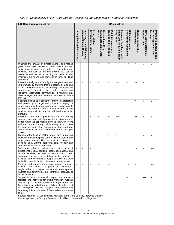*Table 2: Compatibility of LDF Core Strategy Objectives and Sustainability Appraisal Objectives* 

| <b>LDF Core Strategy Objectives</b>                                                                                                                                                                                                                                                                                                                            | <b>SA objectives</b>             |                                                                       |                                                     |                                                       |                                                             |                                                                           |                                           |                                            |                                                |                                                                |
|----------------------------------------------------------------------------------------------------------------------------------------------------------------------------------------------------------------------------------------------------------------------------------------------------------------------------------------------------------------|----------------------------------|-----------------------------------------------------------------------|-----------------------------------------------------|-------------------------------------------------------|-------------------------------------------------------------|---------------------------------------------------------------------------|-------------------------------------------|--------------------------------------------|------------------------------------------------|----------------------------------------------------------------|
|                                                                                                                                                                                                                                                                                                                                                                | <b>Strengthening the Economy</b> | Against<br>Adapting to and Mitigating<br>Q<br>limate<br><b>Change</b> | <b>Environmental Limits</b><br><b>Living Within</b> | Sustainable Employment<br>Developing a More<br>Market | learning and skills base<br><b>Establishing</b><br>a strong | being while reducing health<br>inequalities<br>Improving health and well- | enhancing environment<br>Safeguarding and | communities<br><b>Building sustainable</b> | transport and<br><b>Developing sustainable</b> | heritage<br>Promoting, enhancing and<br>respecting culture and |
| Minimise the impact of climate change and reduce<br>greenhouse gas emissions and waste through<br>sustainable designs and patterns of development.<br>Minimise the loss of the countryside, the use of<br>resources and the risk of flooding and pollution, and<br>maximise the re-use and recycling of land, buildings<br>and waste.                          | $+$                              | $^{++}$                                                               | $^{++}$                                             | $=$                                                   | $=$                                                         | $++$                                                                      | $^{++}$                                   | $=$                                        | $\ddot{}$                                      | $\ddot{}$                                                      |
| Provide equality of opportunity for everyone now and<br>in the future, by ensuring that the design, location and<br>mix of development across the Borough maintains and<br>creates safe, attractive, accessible, healthy and<br>inclusive sustainable communities, eliminating any<br>disadvantage people experience because of where<br>they live.            | $=$                              | $=$                                                                   | $=$                                                 | $=$                                                   | $\ddot{}$                                                   | $^{++}$                                                                   | $=$                                       | $^{++}$                                    | $\ddot{}$                                      | $=$                                                            |
| Facilitate sustainable economic growth by protecting<br>and promoting a range and continuous supply of<br>employment development opportunities in sustainable<br>locations that meet the needs of local businesses and<br>continue to attract high quality, well paid jobs to the<br>Borough.                                                                  | $++$                             |                                                                       | $\overline{\phantom{a}}$                            | $+$                                                   | $\ddot{}$                                                   | $\ddot{}$                                                                 | $\blacksquare$                            | $=$                                        | $\ddot{}$                                      | $=$                                                            |
| Provide a continuous supply of land for new housing<br>developments and help improve the existing stock to<br>better match the aspirations of those that wish to live<br>and work in the Borough, whilst doing more to meet<br>the housing needs of an ageing population and those<br>unable to afford suitable accommodation on the open<br>market.           | $=$                              | $\overline{\phantom{a}}$                                              | $+$                                                 | $\ddot{}$                                             | $\ddot{}$                                                   | $^{++}$                                                                   | $\blacksquare$                            | $^{++}$                                    | $=$                                            | $=$                                                            |
| Safeguard the function of Darlington Town Centre and<br>capitalise on its shopping, culture, leisure, tourism and<br>employment opportunities so that it continues to<br>develop as a vibrant, attractive, safe, friendly and<br>comfortable historic market town.                                                                                             | $+$                              | $=$                                                                   |                                                     | $^{++}$                                               | $=$                                                         | $=$                                                                       | $\overline{\phantom{a}}$                  | $\ddot{}$                                  | $\ddot{}$                                      | $\ddot{}$                                                      |
| Safeguard, enhance and provide a wide range of<br>educational, social, sporting, health, recreational and<br>cultural facilities, as well as natural and historic<br>environments, so as to contribute to the happiness,<br>fulfilment and well-being of people who live and work<br>in the Borough, including children and young people.                      | $=$                              |                                                                       |                                                     | $\div$                                                | $^{++}$                                                     | $++$                                                                      | $\ddotmark$                               | $++$                                       |                                                |                                                                |
| Preserve and strengthen the scale, unique character,<br>function and sense of place of Darlington's<br>neighbourhoods, villages, landscapes, greenspaces,<br>habitats and countryside that contribute positively to<br>its distinctiveness.                                                                                                                    | $=$                              | $=$                                                                   | $=$                                                 | $=$                                                   | $=$                                                         | $\ddot{}$                                                                 | $^{++}$                                   | $=$                                        | $=$                                            | $^{\mathrm{++}}$                                               |
| Support initiatives to maintain, expand and enhance<br>facilities and networks for public transport, walking<br>and cycling, so that everyone is able to get around the<br>Borough easily and affordably, whilst making the most<br>of Darlington's existing transport infrastructure and<br>improving links to the rest of Tees Valley and further<br>afield. | $++$                             | $^{++}$                                                               | $\ddot{}$                                           | $\ddot{}$                                             | $\ddot{}$                                                   | $\ddot{}$                                                                 | $=$                                       | $\ddot{}$                                  | $^{\mathrm{+}}$                                | $\ddot{}$                                                      |

Source: Appendix D: Sustainability Appraisal of the Core Strategy Preferred Options

Key for symbols: ++ Strongly Positive + Positive = Neutral - Negative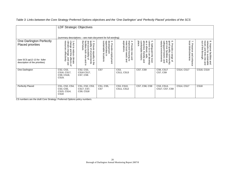LDF Strategic Objectives 3. Provide employment<br>
employment<br>
employment<br>
employment<br>
employment<br>
employment<br>
employment<br>
employment<br>
employment<br>
employment<br>
employment<br>
employment<br>
employment<br>
employment<br>
employment<br>
employment<br>
employment<br>
employ as a vibrant, safe,<br>attractive, friendly and<br>comfortable historic<br>place. 6. Provide a range of<br>good quality community<br>and civic facilities and One Darlington Perfectly 4. Provide new and<br>improved housing to<br>meet local needs and 5. Safeguard the town<br>centre so it can develop aspirations. safeguard historic and  $\geq$ r climate change, and use esources effectively change and the 1.Act to reduce climate the future. facilities both now and in and accessibility quality of environments 2. Ensure equality in the sustainable locations opportunities in development 3. Provide employment aspirations. meet local needs and improved housing to 4. Provide new and comfortable historic attractive, friendly and as a vibrant, safe, centre so it can develop 5. Safeguard the town natural environments natural environments safeguard histori and civic facilitie 6. Provide a range of local distincti 7. Preserve and enhance<br>local distinctiveness 7. Preserve and enhance out of the Bor travel, and links into and networks for sustainable 8. Improve faciliti Placed priorities ough. effects of ٩ es and (see SCS pp12-13 for fuller description of the priorities) One Darlington CS2, CS3, CS2, CS3, CS7 CS3, CS7, CS9 CS6, CS17 CS14, CS17 CS18, CS19 CS16, CS17, CS16 CS17, CS11, CS13 CS7, CS9 CS9, CS18, CS7, CS9. CS19, Perfectly Placed CS1, CS2, CS4, CS1, CS2, CS3, CS1, CS5, CS3, CS10,  $CS7, CS8, CS9$   $CS3, CS14,$ CS14, CS17 CS18 CS3, CS5, CS11, CS12 CS17, CS7, CS9 CS17, CS7, CS7 CS15, CS14, CS9, CS18 CS18

*Table 3: Links between the Core Strategy Preferred Options objectives and the 'One Darlington' and 'Perfectly Placed' priorities of the SCS* 

CS numbers are the draft Core Strategy: Preferred Options policy numbers.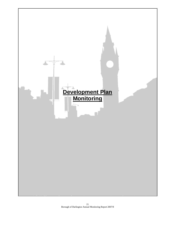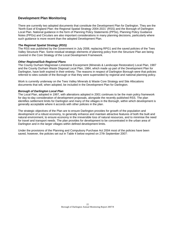## **Development Plan Monitoring**

There are currently two adopted documents that constitute the Development Plan for Darlington. They are the 'North East of England Plan: the Regional Spatial Strategy 2004-2021' (RSS) and the Borough of Darlington Local Plan. National guidance in the form of Planning Policy Statements (PPSs), Planning Policy Guidance Notes (PPGs) and Circulars are also important considerations in many planning decisions, particularly where such guidance is more recent than the adopted Development Plan.

## *The Regional Spatial Strategy (RSS)*

The RSS was published by the Government in July 2008, replacing RPG1 and the saved policies of the Tees Valley Structure Plan. Some residual strategic elements of planning policy from the Structure Plan are being covered in the Core Strategy of the Local Development Framework.

## *Other Regional/Sub Regional Plans*

The County Durham Magnesian Limestone Escarpment (Minerals & Landscape Restoration) Local Plan, 1987 and the County Durham Waste Disposal Local Plan, 1984, which made up part of the Development Plan for Darlington, have both expired in their entirety. The reasons in respect of Darlington Borough were that policies referred to sites outside of the Borough or that they were superseded by regional and national planning policy.

Work is currently underway on the Tees Valley Minerals & Waste Core Strategy and Site Allocations documents that will, when adopted, be included in the Development Plan for Darlington.

## *Borough of Darlington Local Plan*

The Local Plan, adopted in 1997, with alterations adopted in 2001 continues to be the main policy framework for day-to-day consideration of development proposals, alongside the recently published RSS. The plan identifies settlement limits for Darlington and many of the villages in the Borough, within which development is generally acceptable where it accords with other policies in the plan.

The strategic objectives of the Plan are to ensure Darlington provides for growth of the population and development of a robust economy, to generally enhance and maintain attractive features of both the built and natural environment, to ensure economy in the irreversible loss of natural resources, and to minimise the need for travel and transport needs. The plan provides for development to be concentrated in the urban area of Darlington and in the larger villages within defined development limits.

Under the provisions of the Planning and Compulsory Purchase Act 2004 most of the policies have been saved, however, the policies set out in Table 4 below expired on 27th September 2007: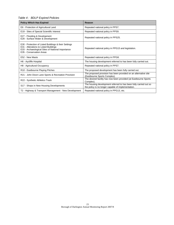*Table 4 : BDLP Expired Policies* 

| <b>Policy Which Has Expired</b>                                                                                                                                                 | Reason                                                                                                                  |
|---------------------------------------------------------------------------------------------------------------------------------------------------------------------------------|-------------------------------------------------------------------------------------------------------------------------|
| E6 - Protection of Agricultural Land                                                                                                                                            | Repeated national policy in PPS7.                                                                                       |
| E19 - Sites of Special Scientific Interest                                                                                                                                      | Repeated national policy in PPS9.                                                                                       |
| E27 - Flooding & Development<br>E28 - Surface Water & Development                                                                                                               | Repeated national policy in PPS25.                                                                                      |
| E30 - Protection of Listed Buildings & their Settings<br>E31 - Alterations to Listed Buildings<br>E33 - Archaeological Sites of National Importance<br>E35 - Conservation Areas | Repeated national policy in PPG15 and legislation.                                                                      |
| E52 - New Masts                                                                                                                                                                 | Repeated national policy in PPG8.                                                                                       |
| H6 - Aycliffe Hospital                                                                                                                                                          | The housing development referred to has been fully carried out.                                                         |
| H8 - Agricultural Occupancy                                                                                                                                                     | Repeated national policy in PPS7.                                                                                       |
| R10 - Eastbourne Playing Pitches                                                                                                                                                | The proposed development has been fully carried out.                                                                    |
| R21 - John Dixon Lane Sports & Recreation Provision                                                                                                                             | The proposed provision has been provided on an alternative site<br>(Eastbourne Sports Complex).                         |
| R22 - Synthetic Athletics Track                                                                                                                                                 | The desired facility has now been provided (at Eastbourne Sports<br>Complex).                                           |
| S17 - Shops in New Housing Developments                                                                                                                                         | The housing development referred to has been fully carried out so<br>the policy is no longer capable of implementation. |
| T2 - Highway & Transport Management - New Development                                                                                                                           | Repeated national policy in PPG13, etc.                                                                                 |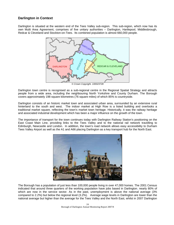## **Darlington in Context**

Darlington is situated at the western end of the Tees Valley sub-region. This sub-region, which now has its own Multi Area Agreement, comprises of five unitary authorities – Darlington, Hartlepool, Middlesbrough, Redcar & Cleveland and Stockton-on-Tees. Its combined population is almost 660,000 people.



*© Crown Copyright. 100023728* 

Darlington town centre is recognised as a sub-regional centre in the Regional Spatial Strategy and attracts people from a wide area, including the neighbouring North Yorkshire and County Durham. The Borough covers approximately 198 square kilometres (76 square miles) of which 85% is countryside.

Darlington consists of an historic market town and associated urban area, surrounded by an extensive rural hinterland to the south and west. The indoor market at High Row is a listed building and overlooks a traditional market square, reflecting the town's market town heritage. Historically, it was the railway heritage and associated industrial development which has been a major influence on the growth of the town.

The importance of transport for the town continues today with Darlington Railway Station's positioning on the East Coast Main Line, providing links to the Tees Valley and to the national rail network travelling to Edinburgh, Newcastle and London. In addition, the town's road network allows easy accessibility to Durham Tees Valley Airport as well as the A1 and A66 placing Darlington as a key transport hub for the North East.



The Borough has a population of just less than 100,000 people living in over 47,000 homes. The 2001 Census indicated that around three quarters of the working population have jobs based in Darlington, nearly 80% of which are now in the service sector. As in the past, unemployment is above the national average (3% compared to 2.2%) but below the regional level (3.2%). Average wage levels in Darlington are lower than the national average but higher than the average for the Tees Valley and the North East, whilst in 2007 Darlington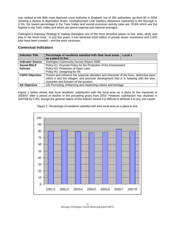was ranked at the 95th most deprived Local Authority in England, out of 354 authorities, up from 90 in 2004 showing a decline in deprivation levels. Unemployment (Job Seekers Allowance claimants) in the Borough is 3.1%, the lowest percentage in the Tees Valley and overall economic activity rates are 79.9% which are the highest in the Tees Valley and which are above regional and national averages.

Darlington's Gateway Strategy is making Darlington one of the most attractive places to live, work, study and play in the North East. In just five years, it has attracted £420 million of private sector investment and 2,000 jobs have been created – and the work continues.

## **Contextual Indicators**

| <b>Indicator Title</b>  | Percentage of residents satisfied with their local areas   Local 1<br>as a place to live |  |
|-------------------------|------------------------------------------------------------------------------------------|--|
| <b>Indicator Source</b> | Darlington Community Survey Report 2008                                                  |  |
| <b>Saved BDLP</b>       | Policy E1: Keynote Policy for the Protection of the Environment                          |  |
| <b>Policies</b>         | Policy E3: Protection of Open Land                                                       |  |
|                         | Policy R1: Designing for All                                                             |  |
| <b>CSPO Objective</b>   | Protect and enhance the separate identities and character of the town, distinctive parts |  |
|                         | within it and the villages, and promote development that is in keeping with the size,    |  |
|                         | character and function of the location.                                                  |  |
| <b>SA Objective</b>     | 10) Promoting, enhancing and respecting culture and heritage                             |  |

Figure 1 below shows that local residents' satisfaction with the local area as a place to live improved in 2006/07 after a period of decline in the preceding years from 2002. However, satisfaction has declined in 2007/08 by 2.3%, though the general nature of this indictor means it is difficult to attribute it to any one cause.



*Figure 1: Percentage of residents satisfied with their local area as a place to live.* 

<sup>25</sup>  Borough of Darlington Annual Monitoring Report 2007/8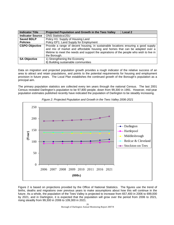| <b>Indicator Title</b>  | Projected Population and Growth in the Tees Valley<br><b>Local 2</b>                                                                                                                                                                                                            |
|-------------------------|---------------------------------------------------------------------------------------------------------------------------------------------------------------------------------------------------------------------------------------------------------------------------------|
| <b>Indicator Source</b> | <b>ONS Statistics/JSU</b>                                                                                                                                                                                                                                                       |
| <b>Saved BDLP</b>       | Policy H1: Supply of Housing Land                                                                                                                                                                                                                                               |
| <b>Policies</b>         | Policy EP1: Land Supply for Employment                                                                                                                                                                                                                                          |
| <b>CSPO Objective</b>   | Provide a range of decent housing, in sustainable locations ensuring a good supply<br>and mix of market and affordable housing and homes that can be adapted over a<br>lifetime to meet the needs and support the aspirations of the people who wish to live in<br>the Borough. |
| <b>SA Objective</b>     | 1) Strengthening the Economy<br>8) Building sustainable communities                                                                                                                                                                                                             |

Data on migration and projected population growth provides a rough indicator of the relative success of an area to attract and retain populations, and points to the potential requirements for housing and employment provision in future years. The Local Plan establishes the continued growth of the Borough's population as a principal aim.

The primary population statistics are collected every ten years through the national Census. The last 2001 Census revealed Darlington's population to be 97,800 people, down from 99,300 in 1991. However, mid-year population estimates published recently have indicated the population of Darlington to be steadily increasing.





Figure 2 is based on projections provided by the Office of National Statistics. The figures use the trend of births, deaths and migrations over previous years to make assumptions about how this will continue in the future. As a whole, the population of the Tees Valley is projected to increase from 657,400 in 2006 to 699,000 by 2021, and in Darlington, it is expected that the population will grow over the period from 2006 to 2021, rising steadily from 99,300 in 2006 to 109,300 in 2021.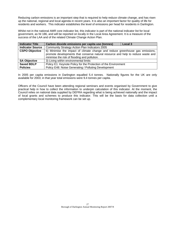Reducing carbon emissions is an important step that is required to help reduce climate change, and has risen up the national, regional and local agenda in recent years. It is also an important factor for quality of life for residents and workers. This indicator establishes the level of emissions per head for residents in Darlington.

Whilst not in the national AMR core indicator list, this indicator is part of the national indicator list for local government, as NI 186, and will be reported on locally in the Local Area Agreement. It is a measure of the success of the LAA and of the related Climate Change Action Plan.

| <b>Indicator Title</b>  | Carbon dioxide emissions per capita use (tonnes)<br>Local 3                      |  |  |
|-------------------------|----------------------------------------------------------------------------------|--|--|
| <b>Indicator Source</b> | Community Strategy Action Plan Indicators 2005                                   |  |  |
| <b>CSPO Objective</b>   | 6) Minimise the impact of climate change and reduce greenhouse gas emissions,    |  |  |
|                         | promote developments that conserve natural resource and help to reduce waste and |  |  |
|                         | minimise the risk of flooding and pollution.                                     |  |  |
| <b>SA Objective</b>     | 3) Living within environmental limits                                            |  |  |
| <b>Saved BDLP</b>       | Policy E1: Keynote Policy for the Protection of the Environment                  |  |  |
| <b>Policies</b>         | Policy E48: Noise Generating / Polluting Development                             |  |  |

In 2005 per capita emissions in Darlington equalled 5.4 tonnes. Nationally figures for the UK are only available for 2003; in that year total emissions were 9.4 tonnes per capita.

Officers of the Council have been attending regional seminars and events organised by Government to give practical help in how to collect the information to underpin calculation of this indicator. At the moment, the Council relies on national data supplied by DEFRA regarding what is being achieved nationally and the impact of local grants and schemes to produce this indicator. This will be the basis for data collection until a complementary local monitoring framework can be set up.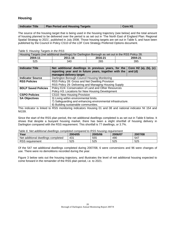## **Housing**

| Indicator Title | <b>Plan Period and Housing Targets</b> | Core H <sub>1</sub> |
|-----------------|----------------------------------------|---------------------|

The source of the housing target that is being used in the housing trajectory (see below) and the total amount of housing planned to be delivered over the period is as set out in 'The North East of England Plan: Regional Spatial Strategy to 2021', published in July 2008. Those housing targets are set out in Table 5, and have been published by the Council in Policy CS10 of the LDF Core Strategy Preferred Options document.

## *Table 5: Housing Targets in the RSS*

| Housing Targets (net additional dwellings) for Darlington Borough as set out in the RSS Policy 28. |         |         |         |
|----------------------------------------------------------------------------------------------------|---------|---------|---------|
| 2004-11                                                                                            | 2011-16 | 2016-21 | 2004-21 |
| 525                                                                                                | 340     | 265     | 395     |

| Indicator Title            | Net additional dwellings in previous years, for the<br>Core H2 (a), (b), (c)<br>reporting year and in future years, together with the<br>and $(d)$<br>managed delivery target |  |  |  |
|----------------------------|-------------------------------------------------------------------------------------------------------------------------------------------------------------------------------|--|--|--|
| <b>Indicator Source</b>    | Darlington Borough Council Housing Monitoring                                                                                                                                 |  |  |  |
| <b>RSS Policies</b>        | RSS Policy 28: Gross and Net Dwelling Provision                                                                                                                               |  |  |  |
|                            | RSS Policy 29: Delivering and Managing Housing Supply                                                                                                                         |  |  |  |
| <b>BDLP Saved Policies</b> | Policy E24: Conservation of Land and Other Resources                                                                                                                          |  |  |  |
|                            | Policy H3: Locations for New Housing Development                                                                                                                              |  |  |  |
| <b>CSPO Policies</b>       | CS10: New Housing Provision                                                                                                                                                   |  |  |  |
| <b>SA Objectives</b>       | 3) Living within environmental limits.                                                                                                                                        |  |  |  |
|                            | 7) Safeguarding and enhancing environmental infrastructure.                                                                                                                   |  |  |  |
|                            | 8) Building sustainable communities.                                                                                                                                          |  |  |  |

This indicator is linked to RSS monitoring indicators Housing 01 and 08 and national indicator NI 154 and NI159.

Since the start of the RSS plan period, the net additional dwellings completed is as set out in Table 6 below. It shows that despite a buoyant housing market, there has been a slight shortfall of housing delivery in Darlington compared with the RSS requirement. This shortfall is 77 dwellings, or 3.7%.

#### *Table 6: Net additional dwellings completed compared to RSS housing requirement*

| Year                                       | 2004/05 | 2005/06 | 2006/07 | 2007/08 |
|--------------------------------------------|---------|---------|---------|---------|
| I dwellings completed<br>additional<br>Net | 431     | 555     | 490     | 547     |
| <b>RSS</b><br>requirement                  | 525     | 525     | 525     | 525     |

Of the 547 net additional dwellings completed during 2007/08, 6 were conversions and 96 were changes of use. There were no demolitions recorded during the year.

Figure 3 below sets out the housing trajectory, and illustrates the level of net additional housing expected to come forward in the remainder of the RSS plan period, i.e. to 2021.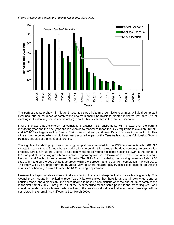

The perfect scenario shown in Figure 3 assumes that all planning permissions granted will yield completed dwellings, but the evidence of completions against planning permissions granted indicates that only 82% of dwellings with planning permission actually get built. This is reflected in the realistic scenario.

Figure 3 shows that the shortfall of completions against RSS requirements will increase over the current monitoring year and the next year and is expected to recover to reach the RSS requirement levels on 2010/11 and 2011/12 as large sites like Central Park come on stream, and West Park continues to be built out. This will also be the period when public investment secured as part of the Tees Valley's successful Housing Growth Point bid should start to make a difference.

The significant undersupply of new housing completions compared to the RSS requirements after 2011/12 reflects the urgent need for new housing allocations to be identified through the development plan preparation process, particularly as the Council is also committed to delivering additional housing growth in the period to 2016 as part of its housing growth point status. Preparatory work is underway on this, in the form of a Strategic Housing Land Availability Assessment (SHLAA). The SHLAA is considering the housing potential of about 60 sites within and on the edge of built-up areas within the Borough, and is due from completion in March 2009. The study will give a longer term (6-15 years) view of where housing delivery could take place to deliver the quantities of housing required to meet the RSS housing requirement.

However the trajectory above does not take account of the recent sharp decline in house building activity. The Council's own quarterly monitoring (see Table 7 below) shows that there is an overall downward trend of housing starts, and a significant and sharp decline in housing completions after the end of 2007; completions in the first half of 2008/09 are just 37% of the level recorded for the same period in the preceding year, and anecdotal evidence from housebuilders active in the area would indicate that even fewer dwellings will be completed in the remaining half year to 31st March 2009.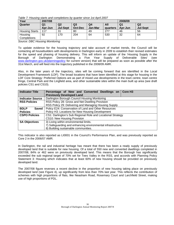*Table 7: Housing starts and completions by quarter since 1st April 2007* 

| Year                  | 2007/08        |                 |                |         | 2008/09  |         |                |
|-----------------------|----------------|-----------------|----------------|---------|----------|---------|----------------|
| Quarter               | Q <sub>1</sub> | Q <sub>2</sub>  | Q <sub>3</sub> | Q4      | All      | Q1      | Q <sub>2</sub> |
|                       | Apr-Jun        | <b>Jul-Sept</b> | <b>Oct-Dec</b> | Jan-Mar | quarters | Apr-Jun | Jul-Sept       |
| <b>Housing Starts</b> | 117            | 31              | 80             | 49      | 277      | 46      | 56             |
| Housing               | 92             | 170             | 204            | 64      | 530      | 32      | 64             |
| Completions<br>----   | $ -$           |                 |                |         |          |         |                |

*Source: DBC Housing Monitoring* 

To update evidence for the housing trajectory and take account of market trends, the Council will be contacting all housebuilders with developments in Darlington early in 2009 to establish their revised estimates for the speed and phasing of housing delivery. This will inform an update of the 'Housing Supply in the Borough of Darlington: Demonstrating a Five Year Supply of Deliverable Sites' (see www.darlington.gov.uk/planningpolicy for current version) that will be prepared as soon as possible after the 31st March, and will feed into the trajectory published in the 2008/09 AMR.

Also, in the later years of the trajectory, sites will be coming forward that are identified in the Local Development Framework (LDF). The broad locations that have been identified at this stage for housing in the LDF Core Strategy: Preferred Options are as part of mixed use developments in the town centre, town centre fringe, Central Park and the Lingfield area, and other sustainable sites within the main built up area (see draft policies CS1 and CS10).

| <b>Indicator Title</b>  | Percentage of New and Converted Dwellings on   Core H3      |  |  |  |
|-------------------------|-------------------------------------------------------------|--|--|--|
|                         | <b>Previously Developed Land</b>                            |  |  |  |
| <b>Indicator Source</b> | Darlington Borough Council Housing Monitoring               |  |  |  |
| <b>RSS Policies</b>     | RSS Policy 28: Gross and Net Dwelling Provision             |  |  |  |
|                         | RSS Policy 29: Delivering and Managing Housing Supply       |  |  |  |
| <b>BDLP</b><br>Saved    | Policy E24: Conservation of Land and Other Resources        |  |  |  |
| <b>Policies</b>         | Policy H3: Locations for New Housing Development            |  |  |  |
| <b>CSPO Policies</b>    | CS1: Darlington's Sub Regional Role and Locational Strategy |  |  |  |
|                         | <b>CS10: New Housing Provision</b>                          |  |  |  |
| <b>SA Objectives</b>    | 3) Living within environmental limits.                      |  |  |  |
|                         | 7) Safeguarding and enhancing environmental infrastructure. |  |  |  |
|                         | 8) Building sustainable communities.                        |  |  |  |

This indicator is also reported as LI0001 in the Council's Performance Plan, and was previously reported as Core 2 in the 2006/07 AMR.

In Darlington, the rail and industrial heritage has meant that there has been a ready supply of previously developed land that is suitable for new housing. Of a total of 550 new and converted dwellings completed in 2007/08, 84% or 462 were on previously developed land. This means that the Borough has significantly exceeded the sub regional target of 70% set for Tees Valley in the RSS, and accords with Planning Policy Statement 3: Housing which indicates that at least 60% of new housing should be provided on previously developed land.

The 2007/08 figure reverses a recent decline in the proportion of new housing taking place on previously developed land (see Figure 4), up significantly from less than 70% last year. This reflects the contribution of schemes with high proportions of flats, like Neasham Road, Rosemary Court and Larchfield Street, making use of high proportions of PDL.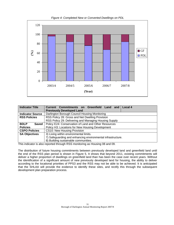



| <b>Indicator Title</b>  | <b>Current Commitments on Greenfield</b><br>Local 4<br>and<br>Land |  |  |
|-------------------------|--------------------------------------------------------------------|--|--|
|                         | <b>Previously Developed Land</b>                                   |  |  |
| <b>Indicator Source</b> | Darlington Borough Council Housing Monitoring                      |  |  |
| <b>RSS Policies</b>     | RSS Policy 28: Gross and Net Dwelling Provision                    |  |  |
|                         | RSS Policy 29: Delivering and Managing Housing Supply              |  |  |
| <b>BDLP</b><br>Saved    | Policy E24: Conservation of Land and Other Resources               |  |  |
| <b>Policies</b>         | Policy H3: Locations for New Housing Development                   |  |  |
| <b>CSPO Policies</b>    | CS10: New Housing Provision                                        |  |  |
| <b>SA Objectives</b>    | 3) Living within environmental limits.                             |  |  |
|                         | 7) Safeguarding and enhancing environmental infrastructure.        |  |  |
|                         | 8) Building sustainable communities.                               |  |  |

This indicator is also reported through RSS monitoring as Housing 08 and 09.

The distribution of future housing commitments between previously developed land and greenfield land until the end of the RSS plan period is shown in Figure 5. It shows that beyond 2011, existing commitments will deliver a higher proportion of dwellings on greenfield land than has been the case over recent years. Without the identification of a significant amount of new previously developed land for housing, the ability to deliver according to the locational priorities of PPS3 and the RSS may not be able to be achieved. It is anticipated that the SHLAA will provide the evidence to identify these sites, and rectify this through the subsequent development plan preparation process.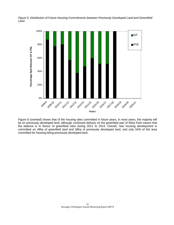*Figure 5: Distribution of Future Housing Commitments between Previously Developed Land and Greenfield Land* 



Figure 6 (overleaf) shows that of the housing sites committed in future years, in most years, the majority will be on previously developed land, although continued delivery on the greenfield part of West Park means that the balance is in favour of greenfield sites during 2011 to 2014. Overall, new housing development is committed on 49ha of greenfield land and 58ha of previously developed land, and only 54% of the area committed for housing being previously developed land.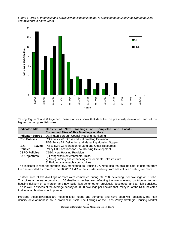*Figure 6: Area of greenfield and previously developed land that is predicted to be used in delivering housing commitments in future years* 



Taking Figure 5 and 6 together, these statistics show that densities on previously developed land will be higher than on greenfield sites.

| <b>Indicator Title</b>      | Density of New Dwellings on Completed and Local 5           |  |  |
|-----------------------------|-------------------------------------------------------------|--|--|
|                             | <b>Committed Sites of Five Dwellings or More</b>            |  |  |
| <b>Indicator Source</b>     | Darlington Borough Council Housing Monitoring               |  |  |
| <b>RSS Policies</b>         | RSS Policy 28: Gross and Net Dwelling Provision             |  |  |
|                             | RSS Policy 29: Delivering and Managing Housing Supply       |  |  |
| <b>BDLP</b><br><b>Saved</b> | Policy E24: Conservation of Land and Other Resources        |  |  |
| <b>Policies</b>             | Policy H3: Locations for New Housing Development            |  |  |
| <b>CSPO Policies</b>        | CS10: New Housing Provision                                 |  |  |
| <b>SA Objectives</b>        | 3) Living within environmental limits.                      |  |  |
|                             | 7) Safeguarding and enhancing environmental infrastructure. |  |  |
|                             | 8) Building sustainable communities.                        |  |  |

This indicator is reported through RSS monitoring as Housing 07. Note also that this indicator is different from the one reported as Core 3 in the 2006/07 AMR in that it is derived only from sites of five dwellings or more.

Thirteen sites of five dwellings or more were completed during 2007/08, delivering 359 dwellings on 3.38ha. This gives an average density of 106 dwellings per hectare, reflecting the overwhelming contribution to new housing delivery of conversion and new build flats schemes on previously developed land at high densities. This is well in excess of the average density of 30-50 dwellings per hectare that Policy 29 of the RSS indicates that local authorities should plan for.

Provided these dwellings are meeting local needs and demands and have been well designed, the high density development is not a problem in itself. The findings of the Tees Valley Strategic Housing Market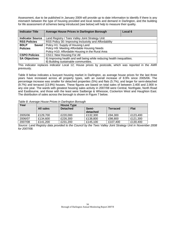Assessment, due to be published in January 2009 will provide up to date information to identify if there is any mismatch between the type of housing provided and local needs and demand in Darlington, and the building for life assessment of schemes being introduced (see below) will help to measure their quality.

| <b>Indicator Title</b>  | Average House Prices in Darlington Borough<br>Local 6                  |  |  |  |
|-------------------------|------------------------------------------------------------------------|--|--|--|
| <b>Indicator Source</b> | Land Registry / Tees Valley Joint Strategy Unit                        |  |  |  |
| <b>RSS Policies</b>     | RSS Policy 30: Improving Inclusivity and Affordability                 |  |  |  |
| <b>BDLP</b><br>Saved    | Policy H1: Supply of Housing Land                                      |  |  |  |
| <b>Policies</b>         | Policy H9: Meeting Affordable Housing Needs                            |  |  |  |
|                         | Policy H10: Affordable Housing in the Rural Area                       |  |  |  |
| <b>CSPO Policies</b>    | CS11: New Housing For All                                              |  |  |  |
| <b>SA Objectives</b>    | 6) Improving health and well being while reducing health inequalities. |  |  |  |
|                         | 8) Building sustainable communities.                                   |  |  |  |

This indicator replaces indicator Local 12; House prices by postcode, which was reported in the AMR previously.

Table 8 below indicates a buoyant housing market in Darlington, as average house prices for the last three years have increased across all property types, with an overall increase of 8.9% since 2005/06. The percentage increase was smaller for detached properties (5%) and flats (5.7%), and larger for semi-detached (9.7%) and terraced (13.9%) houses. These figures are based on total sales of between 2,400 and 2,900 in any one year. The wards with greatest housing sales activity in 2007/08 were Central, Northgate, North Road and Eastbourne, and those with the least were Sadberge & Whessoe, Cockerton West and Haughton East. The distribution of sales across the borough is shown in Figure 7 below.

| Table 8: Average House Prices in Darlington Borough |  |  |
|-----------------------------------------------------|--|--|
|                                                     |  |  |

| Year    |           | <b>House Type</b> |          |                 |             |
|---------|-----------|-------------------|----------|-----------------|-------------|
|         | All sales | <b>Detached</b>   | Semi-    | <b>Terraced</b> | <b>Flat</b> |
|         |           |                   | detached |                 |             |
| 2005/06 | £129.700  | £220,000          | £132.300 | £94.300         | £123,400    |
| 2006/07 | £134,600  | £226,300          | £138,800 | £98,800         | £121,300    |
| 2007/08 | £141,200  | £231,200          | £145,100 | £107,400        | £130,400    |

*Source: Land Registry data provided to the Council by the Tees Valley Joint Strategy Unit in November 2008 for 2007/08.*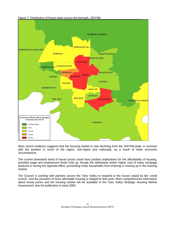

More recent evidence suggests that the housing market is now declining from the 2007/08 peak, in common with the position in much of the region, sub-region and nationally, as a result of wider economic circumstances.

The current downward trend of house prices could have positive implications for the affordability of housing, provided wage and employment levels hold up, though the withdrawal and/or higher cost of many mortgage products is having the opposite effect, preventing many households from entering or moving up in the housing market.

The Council is working with partners across the Tees Valley to respond to the issues raised by the 'credit crunch', and the provision of more affordable housing is integral to that work. More comprehensive information about house prices and the housing market will be available in the Tees Valley Strategic Housing Market Assessment, due for publication in early 2009.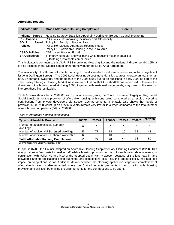## **Affordable Housing**

| <b>Indicator Title</b>      | Core H <sub>5</sub><br><b>Gross Affordable Housing Completions</b>            |  |  |
|-----------------------------|-------------------------------------------------------------------------------|--|--|
|                             |                                                                               |  |  |
| <b>Indicator Source</b>     | Housing Strategy Statistical Appendix / Darlington Borough Council Monitoring |  |  |
| <b>RSS Policies</b>         | RSS Policy 30: Improving Inclusivity and Affordability                        |  |  |
| <b>BDLP</b><br><b>Saved</b> | Policy H1: Supply of Housing Land                                             |  |  |
| <b>Policies</b>             | Policy H9: Meeting Affordable Housing Needs                                   |  |  |
|                             | Policy H10: Affordable Housing in the Rural Area                              |  |  |
| <b>CSPO Policies</b>        | CS11: New Housing For All                                                     |  |  |
| <b>SA Objectives</b>        | 6) Improving health and well being while reducing health inequalities.        |  |  |
|                             | 8) Building sustainable communities.                                          |  |  |

This indicator is common to this AMR, RSS monitoring (Housing 11) and the national indicator set (NI 155). It is also included in the Council's monitoring framework for the Local Area Agreement.

The availability of sufficient affordable housing to meet identified local needs continues to be a significant issue in Darlington Borough. The 2005 Local Housing Assessment identified a gross average annual shortfall of 265 affordable dwellings, and the update to the 2005 study due to be published in early 2009 as part of the Tees Valley Strategic Housing Market Assessment will show that this shortfall has increased. However the downturn in the housing market during 2008, together with sustained wage levels, may point to the need to interpret these figures flexibly.

Table 9 below shows that in 2007/08, as in previous recent years, the Council has relied largely on Registered Social Landlords for the provision of affordable housing, with none being completed as a result of securing contributions from private developers via Section 106 agreements. The table also shows that levels of provision in 2007/08 whilst up on previous years, remain very low (9.1%) when compared to the total number of new house completions (547) in 2007/08.

| <b>Type of Affordable Provision</b>               | 2002/3 | 2003/4 | 2004/5 | 2005/6 | 2006/7 | 2007/08 |
|---------------------------------------------------|--------|--------|--------|--------|--------|---------|
| Number of additional local authority<br>dwellings |        |        |        |        |        |         |
| Number of additional RSL rented dwellings         | 45     | 77     | 18     | 10     | 38     | 42      |
| Number of additional RSL shared ownership         |        |        | 10     |        |        |         |
| <b>Total Affordable Housing Completions</b>       | 51     | 77     | 28     | 10     | 38     | 50      |

*Table 9: Affordable housing completions* 

 *Source: Housing Strategy Statistical Index* 

In April 2007/08, the Council adopted an Affordable Housing Supplementary Planning Document (SPD). This now provides a firm basis for seeking affordable housing provision as part of new housing developments, in conjunction with Policy H9 and H10 of the adopted Local Plan. However, because of the long lead in time between planning applications being submitted and completions occurring, this adopted policy has had little impact on completions so far. Additional delays between the planning application stage and completions of affordable housing is also expected where the Council accepts payments in lieu of affordable housing provision and will itself be making the arrangements for the contributions to be spent.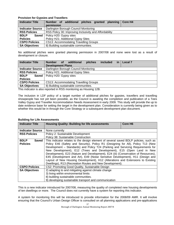## **Provision for Gypsies and Travellers**

| <b>Indicator Title</b>  | Number of additional pitches granted planning Core H4  |  |  |
|-------------------------|--------------------------------------------------------|--|--|
|                         | permission                                             |  |  |
| <b>Indicator Source</b> | Darlington Borough Council Monitoring                  |  |  |
| <b>RSS Policies</b>     | RSS Policy 30: Improving Inclusivity and Affordability |  |  |
| <b>BDLP</b><br>Saved    | Policy H20: Gypsy sites                                |  |  |
| <b>Policies</b>         | Policy H21: Additional Gypsy Sites                     |  |  |
| <b>CSPO Policies</b>    | <b>CS13: Accommodating Travelling Groups</b>           |  |  |
| <b>SA Objectives</b>    | 8) Building sustainable communities.                   |  |  |

No additional pitches were granted planning permission in 2007/08 and none were lost as a result of development or closure.

| <b>Indicator Title</b>  | additional<br>included<br><b>Local 7</b><br><b>pitches</b><br><b>Number</b><br>οf<br><u>in</u><br><b>Development Plans</b> |
|-------------------------|----------------------------------------------------------------------------------------------------------------------------|
| <b>Indicator Source</b> | Darlington Borough Council Monitoring                                                                                      |
| <b>RSS Policies</b>     | Policy H21: Additional Gypsy Sites                                                                                         |
| <b>BDLP</b><br>Saved    | Policy H20: Gypsy sites                                                                                                    |
| <b>Policies</b>         |                                                                                                                            |
| <b>CSPO Policies</b>    | <b>CS13: Accommodating Travelling Groups</b>                                                                               |
| <b>SA Objectives</b>    | 8) Building sustainable communities.                                                                                       |

This indicator is also reported in RSS monitoring as Housing 12B.

The inclusion in LDF policy of a target number of additional pitches for gypsies, travellers and travelling showpeople has not yet been possible, as the Council is awaiting the completion and publication of a Tees Valley Gypsy and Traveller Accommodation Needs Assessment in early 2009. This study will provide the up to date evidence base for setting the target in the development plan. Consideration is currently being given as to whether this would be in through the Core Strategy or a subsequent development plan document.

## **Building for Life Assessments**

| <b>Indicator Title</b>      | <b>Housing Quality: Building for life assessments</b>                                | Core H <sub>6</sub> |  |  |  |  |  |  |  |
|-----------------------------|--------------------------------------------------------------------------------------|---------------------|--|--|--|--|--|--|--|
| <b>Indicator Source</b>     | None currently                                                                       |                     |  |  |  |  |  |  |  |
| <b>RSS Policies</b>         | Policy 2: Sustainable Development                                                    |                     |  |  |  |  |  |  |  |
|                             | Policy 38: Sustainable Construction                                                  |                     |  |  |  |  |  |  |  |
| <b>BDLP</b><br><b>Saved</b> | This indicator relates to the design element of several saved BDLP policies, such as |                     |  |  |  |  |  |  |  |
| <b>Policies</b>             | Policy E46 (Safety and Security), Policy R1 (Designing for All), Policy T13 (New     |                     |  |  |  |  |  |  |  |
|                             | Development - Standards) and Policy T24 (Parking and Servicing Requirements for      |                     |  |  |  |  |  |  |  |
|                             | New Development), E12 (Trees and Development), E15 (Open Land in New                 |                     |  |  |  |  |  |  |  |
|                             | Development), E23 (Nature and Development), E24 (iii) (Conservation of Resources),   |                     |  |  |  |  |  |  |  |
|                             | E45 (Development and Art), E49 (Noise Sensitive Development), H11 (Design and        |                     |  |  |  |  |  |  |  |
|                             | Layout of New Housing Development), H12 (Alterations and Extensions to Existing      |                     |  |  |  |  |  |  |  |
|                             | Dwellings), R13 (Recreation Routes and New Development).                             |                     |  |  |  |  |  |  |  |
| <b>CSPO Policies</b>        | CS2: Promoting Good Quality, Sustainable Design                                      |                     |  |  |  |  |  |  |  |
| <b>SA Objectives</b>        | 2) adapting to and mitigating against climate change                                 |                     |  |  |  |  |  |  |  |
|                             | 3) living within environmental limits                                                |                     |  |  |  |  |  |  |  |
|                             | 8) building sustainable communities.                                                 |                     |  |  |  |  |  |  |  |
|                             | 9) developing sustainable transport and communication                                |                     |  |  |  |  |  |  |  |

This is a new indicator introduced for 2007/08, measuring the quality of completed new housing developments of ten dwellings or more. The Council does not currently have a system for reporting this indicator.

A system for monitoring this will be introduced to provide information for the 2008/09 AMR. It will involve ensuring that the Council's Urban Design Officer is consulted on all planning applications and pre-applications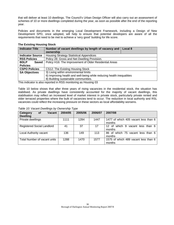that will deliver at least 10 dwellings. The Council's Urban Design Officer will also carry out an assessment of schemes of 10 or more dwellings completed during the year, as soon as possible after the end of the reporting year.

Policies and documents in the emerging Local Development Framework, including a Design of New Development SPD, once adopted, will help to ensure that potential developers are aware of all the requirements that need to be met to achieve a 'very good' building for life score.

| Indicator Title                      | Number of vacant dwellings by length of vacancy and<br>Local 8        |  |  |  |  |  |
|--------------------------------------|-----------------------------------------------------------------------|--|--|--|--|--|
|                                      | ownership                                                             |  |  |  |  |  |
| <b>Indicator Source</b>              | <b>Housing Strategy Statistical Appendices</b>                        |  |  |  |  |  |
| <b>RSS Policies</b>                  | Policy 28: Gross and Net Dwelling Provision.                          |  |  |  |  |  |
| <b>BDLP</b><br>Saved                 | Policy H16: The Improvement of Older Residential Areas                |  |  |  |  |  |
| <b>Policies</b>                      |                                                                       |  |  |  |  |  |
| <b>CSPO Policies</b>                 | CS12: The Existing Housing Stock                                      |  |  |  |  |  |
| <b>SA Objectives</b>                 | 3) Living within environmental limits                                 |  |  |  |  |  |
|                                      | 6) Improving health and well-being while reducing health inequalities |  |  |  |  |  |
| 8) Building sustainable communities. |                                                                       |  |  |  |  |  |

## **The Existing Housing Stock**

This indicator is also reported in RSS monitoring as Housing 03

Table 10 below shows that after three years of rising vacancies in the residential stock, the situation has stabilised. As private dwellings have consistently accounted for the majority of vacant dwellings, this stabilisation may reflect an increased level of market interest in private stock, particularly private rented and older terraced properties where the bulk of vacancies tend to occur. The reduction in local authority and RSL vacancies could reflect the increasing pressure on these sectors as local affordability worsens.

## *Table 10: Vacant Dwellings by Ownership Type*

| Category<br>Vacant<br><b>of</b><br><b>Dwelling</b> | 2004/05 | 2005/06 | 2006/07 | 2007/08                                         |
|----------------------------------------------------|---------|---------|---------|-------------------------------------------------|
| Private dwellings                                  | 1111    | 1284    | 1447    | 1477 of which 405 vacant less than 6<br>months  |
| <b>Registered Social Landlord</b>                  | 41      | 37      | 17      | of which 9 vacant less than 6<br>12<br>months   |
| Local Authority vacant                             | 136     | 149     | 113     | of which 75 vacant less than 6<br>86.<br>months |
| Total Number of vacant units                       | 1288    | 1470    | 1577    | 1575 of which 489 vacant less than 6<br>months  |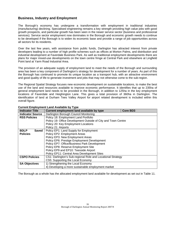## **Business, Industry and Employment**

The Borough's economy has undergone a transformation with employment in traditional industries (manufacturing) declining. Specialised engineering remains a key strength providing high value jobs with good growth prospects, and particular growth has been seen in the newer service sector (business and professional services). Service sector employment now dominates in the Borough and economic growth needs to continue to be developed if the Borough is to widen its economic base and provide a range of job opportunities across all sectors for its residents.

Over the last few years, with assistance from public funds, Darlington has attracted interest from private developers leading to a number of high profile schemes such as offices at Morton Palms, and distribution and industrial development at Faverdale Business Park. As well as traditional employment developments there are plans for major mixed-use developments on the town centre fringe at Central Park and elsewhere at Lingfield Point land at Yarm Road Industrial Area.

The provision of an adequate supply of employment land to meet the needs of the Borough and surrounding area has been a key component of Darlington's strategy for development for a number of years. As part of this the Borough has continued to promote its unique location as a transport hub, with an attractive environment and good quality of life to generate investment and jobs that may not otherwise come to the sub-region.

The Regional Spatial Strategy focuses new economic development on sustainable locations, to make the best use of the land and resources available to improve economic performance. It identifies that up to 235ha of general employment land needs to be provided in the Borough, in addition to 125ha in the key employment locations of Faverdale and Heighington Lane. This gives a total provision of 360ha in Darlington. The identification of land at Durham Tees Valley Airport for airport related development is included within this overall figure.

| <b>Indicator Title</b>      | .<br>Current employment land available by type                | <b>Core BD3</b> |  |  |  |  |  |  |
|-----------------------------|---------------------------------------------------------------|-----------------|--|--|--|--|--|--|
| <b>Indicator Source</b>     | Darlington Borough Council Monitoring                         |                 |  |  |  |  |  |  |
| <b>RSS Policies</b>         | Policy 18: Employment Land Portfolio                          |                 |  |  |  |  |  |  |
|                             | Policy 19: Office Development Outside of City and Town Centre |                 |  |  |  |  |  |  |
|                             | Policy 20: Key Employment Locations                           |                 |  |  |  |  |  |  |
|                             | Policy 21: Airports                                           |                 |  |  |  |  |  |  |
| <b>BDLP</b><br><b>Saved</b> | Policy EP1: Land Supply for Employment                        |                 |  |  |  |  |  |  |
| <b>Policies</b>             | Policy EP2: Employment Areas                                  |                 |  |  |  |  |  |  |
|                             | Policy EP3: New Employment Areas                              |                 |  |  |  |  |  |  |
|                             | Policy EP6: Prestige Employment Development                   |                 |  |  |  |  |  |  |
|                             | Policy EP7: Office/Business Park Development                  |                 |  |  |  |  |  |  |
|                             | Policy EP8: Reserve Employment Site                           |                 |  |  |  |  |  |  |
|                             | Policy EP9 and EP10: Teesside Airport                         |                 |  |  |  |  |  |  |
|                             | Policy EP11: Central Area Development Sites                   |                 |  |  |  |  |  |  |
| <b>CSPO Policies</b>        | CS1: Darlington's Sub-regional Role and Locational Strategy   |                 |  |  |  |  |  |  |
|                             | CS5: Supporting the Local Economy                             |                 |  |  |  |  |  |  |
| <b>SA Objectives</b>        | 1) Strengthening the Local Economy                            |                 |  |  |  |  |  |  |
|                             | 4) Developing a more sustainable employment market            |                 |  |  |  |  |  |  |

## **Current Employment Land Available by Type**

The Borough as a whole has the allocated employment land available for development as set out in Table 11.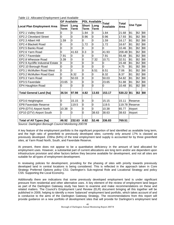|                                   | <b>GF Available</b>  |                     | <b>PDL Available</b> |              | <b>Total</b>     | <b>Total</b> |                 |                |                |
|-----------------------------------|----------------------|---------------------|----------------------|--------------|------------------|--------------|-----------------|----------------|----------------|
| <b>Local Plan Employment Area</b> | <b>Short</b><br>Term | Long<br><b>Term</b> | Short<br>Term        | Long<br>Term | <b>Available</b> | Area         | <b>Use Type</b> |                |                |
| EP2.1 Valley Street               | 0                    | 0                   | 1.84                 | 0            | 1.84             | 21.68        | B <sub>1</sub>  | <b>B2</b>      | B <sub>8</sub> |
| <b>EP2.2 Cleveland Street</b>     | 0                    | 0                   | 0.96                 | O            | 0.96             | 17.93        | B <sub>1</sub>  | <b>B2</b>      | B <sub>8</sub> |
| EP2.3 Albert Hill                 | 1.59                 | 0                   | 0                    | 0            | 1.59             | 16.17        | B <sub>1</sub>  | B <sub>2</sub> | B <sub>8</sub> |
| EP2.4 Blackett Road               | 0                    | 0                   | 1.72                 | O            | 1.72             | 16.67        | B <sub>1</sub>  | B <sub>2</sub> | B <sub>8</sub> |
| EP2.5 Banks Road                  | 0                    | 0                   | 0                    | O            | Ю                | 10.46        | B <sub>1</sub>  | <b>B2</b>      | B <sub>8</sub> |
| EP2.6 Yarm Road                   | O                    | 41.63               | 0.3                  | O            | 41.93            | 208.48       | B <sub>1</sub>  | <b>B2</b>      | B <sub>8</sub> |
| EP2.7 Faverdale                   | 7.91                 | O                   | 0                    | 0            | 7.91             | 55.48        | B <sub>1</sub>  | B <sub>2</sub> | B <sub>8</sub> |
| EP2.8 Whessoe Road                | 3.39                 | O                   | 0                    | 7.32         | 10.71            | 32.51        | B <sub>1</sub>  | B <sub>2</sub> | B <sub>8</sub> |
| EP2.9 Aycliffe Industrial Estate  | 10                   | 0                   | $\overline{0}$       | 0            | 0                | 15.48        | B <sub>1</sub>  | <b>B2</b>      | B <sub>8</sub> |
| EP2.10 Borough Road               | 0                    | 0                   | 0                    | l0           | l0               | 4.75         | B <sub>1</sub>  | <b>B2</b>      | B <sub>8</sub> |
| EP3.1 McMullen Road West          | 10                   | 0                   | 0                    | 6.51         | 6.51             | 7.06         | B <sub>1</sub>  | <b>B2</b>      | B <sub>8</sub> |
| EP3.2 McMullen Road East          | 0                    | 6.32                | O                    | 0            | 6.32             | 6.37         | B <sub>1</sub>  | <b>B2</b>      | B <sub>8</sub> |
| EP3.3 Yarm Road                   | O                    | 50.03               | O                    | O            | 50.03            | 54.82        | B <sub>1</sub>  | <b>B2</b>      | B <sub>8</sub> |
| EP3.5 Faverdale                   | 23.65                | O                   | 0                    | O            | 23.65            | 51.88        | B <sub>1</sub>  | B <sub>2</sub> | B <sub>8</sub> |
| EP4 Haughton Road                 | 0                    | 0                   | O                    | O            | 0                | 10.48        | B <sub>1</sub>  | <b>B2</b>      | B <sub>8</sub> |
|                                   |                      |                     |                      |              |                  |              |                 |                |                |
| <b>Total General Land (ha)</b>    | 36.54                | 97.98               | 4.82                 | 13.83        | 153.17           | 530.22       | B <sub>1</sub>  | <b>B2</b>      | B <sub>8</sub> |
|                                   |                      |                     |                      |              |                  |              |                 |                |                |
| EP3.6 Heighington                 | 0                    | 15.15               | O                    | 0            | 15.15            | 15.11        | Reserve         |                |                |
| <b>EP8 Faverdale Reserve</b>      | Ю                    | 119.5               | 0                    | 0            | 119.5            | 119.78       | Reserve         |                |                |
| EP9 (DTV) Airport North           | 10.38                | O                   | O                    | 0            | 10.38            | 65.77        | Airport         |                |                |
| EP10 (DTV) Airport South          | 0                    | 0                   | O                    | 38.63        | 38.63            | 38.63        | Airport         |                |                |
|                                   |                      |                     |                      |              |                  |              |                 |                |                |
| <b>Total of All Types (ha)</b>    | 46.92                | 232.63              | 4.82                 | 52.46        | 336.83           | 769.51       |                 |                |                |

*Table 11: Allocated Employment Land Available* 

*Source: Darlington Borough Council Monitoring 2007/8* 

A key feature of the employment portfolio is the significant proportion of land identified as available long term, and the high ratio of greenfield to previously developed sites; currently only around 17% is classed as previously developed. 226ha (64%) of the total employment land supply is accounted for by three greenfield sites, at Yarm Road North, South, and Faverdale Reserve.

At present, there does not appear to be a quantitative deficiency in the amount of land allocated for employment uses. However, a substantial part of current allocations are long term and/or are dependent upon infrastructure provision and other factors before they become available for development, and not all sites are suitable for all types of employment development.

In reviewing policies for development, providing for the phasing of sites with priority towards previously developed land in central locations is being considered. This is reflected in the approach taken in Core Strategy Preferred Options policy CS1: Darlington's Sub-regional Role and Locational Strategy and policy CS5: Supporting the Local Economy.

Additionally there are indications that some previously developed employment land is under significant pressure from residential and other alternative uses. A key element of the review of employment land begun as part of the Darlington Gateway study has been to examine and make recommendations on these and related matters. The Council's Employment Land Review (ELR) document bringing all this together will be published in 2009, helping to identify a more 'balanced' employment land portfolio, which takes account of and is conducive to the aims of the Darlington Gateway Strategy. The recommendations from this report will provide guidance on a new portfolio of development sites that will provide for Darlington's employment land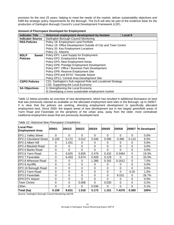provision for the next 25 years, helping to meet the needs of the market, deliver sustainability objectives and fulfill the strategic policy requirements for the Borough. The ELR will also be part of the evidence base for the production of Darlington Borough Council's Local Development Framework (LDF).

| <b>Indicator Title</b>      | Historical employment development by hectare<br>Local 9       |  |  |  |  |  |  |
|-----------------------------|---------------------------------------------------------------|--|--|--|--|--|--|
| <b>Indicator Source</b>     | Darlington Borough Council Monitoring                         |  |  |  |  |  |  |
| <b>RSS Policies</b>         | Policy 18: Employment Land Portfolio                          |  |  |  |  |  |  |
|                             | Policy 19: Office Development Outside of City and Town Centre |  |  |  |  |  |  |
|                             | Policy 20: Key Employment Locations                           |  |  |  |  |  |  |
|                             | Policy 21: Airports                                           |  |  |  |  |  |  |
| <b>Saved</b><br><b>BDLP</b> | Policy EP1: Land Supply for Employment                        |  |  |  |  |  |  |
| <b>Policies</b>             | Policy EP2: Employment Areas                                  |  |  |  |  |  |  |
|                             | Policy EP3: New Employment Areas                              |  |  |  |  |  |  |
|                             | Policy EP6: Prestige Employment Development                   |  |  |  |  |  |  |
|                             | Policy EP7: Office / Business Park Development                |  |  |  |  |  |  |
|                             | Policy EP8: Reserve Employment Site                           |  |  |  |  |  |  |
|                             | Policy EP9 and EP10: Teesside Airport                         |  |  |  |  |  |  |
|                             | <b>Policy EP11: Central Area Development Site</b>             |  |  |  |  |  |  |
| <b>CSPO Policies</b>        | CS1: Darlington's Sub-regional Role and Locational Strategy   |  |  |  |  |  |  |
|                             | CS5: Supporting the Local Economy                             |  |  |  |  |  |  |
| <b>SA Objectives</b>        | 1) Strengthening the Local Economy                            |  |  |  |  |  |  |
|                             | 4) Developing a more sustainable employment market            |  |  |  |  |  |  |

**Amount of Floorspace Developed for Employment** 

Table 12 below provides an overview of new development, which has resulted in additional floorspace on land that was previously classed as available on the allocated employment land sites in the Borough, up to 2006/7. It is clear that the policies are working, directing employment development to specifically allocated employment land. Since 2000, the largest areas of new development are in two largely greenfield areas of Yarm Road and Faverdale on the periphery of the urban area, away from the older, more centralised traditional employment areas that are previously developed land.

| <b>Local Plan</b><br><b>Employment Area</b> | 2000/1   | 2001/2   | 2002/3   | 2003/4 | 2004/5   | 2005/6   | 2006/7   | % Developed |
|---------------------------------------------|----------|----------|----------|--------|----------|----------|----------|-------------|
| <b>EP2.1 Valley Street</b>                  | $\Omega$ | $\Omega$ | $\Omega$ | 0      | $\Omega$ | $\Omega$ | 0        | 0.0%        |
| <b>IEP2.2 Cleveland Street</b>              | 0.159    | 0.172    | 0.012    | 0.346  | 0.395    | 0.396    | 0.115    | 6.5%        |
| <b>IEP2.3 Albert Hill</b>                   | 0        | 1.431    | 0        | 0      | 0        | $\Omega$ | 0        | 5.9%        |
| IEP2.4 Blackett Road                        | 0        | 0        | 0        | 0      | 0        | $\Omega$ | 0        | $0.0\%$     |
| EP2.5 Banks Road                            | $\Omega$ | $\Omega$ | $\Omega$ | 0      | $\Omega$ | $\Omega$ | $\Omega$ | $0.0\%$     |
| EP2.6 Yarm Road                             | 0        | 0.625    | 0.826    | 2.476  | 0.432    | 0.3494   | 0        | 19.3%       |
| <b>IEP2.7 Faverdale</b>                     | $\Omega$ | 6.403    | 0.674    | 0.928  | 0.129    | $\Omega$ | 0        | 33.3%       |
| EP2.8 Whessoe Road                          | 0        | 0        | 0        | 1.386  | 0.162    | 0.1612   | 0        | 7.0%        |
| EP2.9 Aycliffe                              | $\Omega$ | $\Omega$ | 0        | 0      | 0        | 0        | $\Omega$ | $0.0\%$     |
| EP2.10 Borough Road                         | 0        | $\Omega$ | 0        | 0      | 0        | $\Omega$ | $\Omega$ | $0.0\%$     |
| EP3.3 Yarm Road                             | 0        | 0        | 0        | 0      | 0        | $\Omega$ | 0.25     | $1.0\%$     |
| EP3.5 Faverdale                             | 0        | $\Omega$ | 0        | 0      | 0        | 6.531    | 0        | 26.7%       |
| <b>EP9 DTV Airport</b>                      | 0        | $\Omega$ | 0        | 0      | $\Omega$ | $\Omega$ | 0        | $0.0\%$     |
| <b>Town Centre</b>                          | $\Omega$ | $\Omega$ | 0.006    | 0      | 0.033    | $\Omega$ | $\Omega$ | 0.2%        |
| Other-                                      | $\Omega$ | $\Omega$ | 0        | 0.036  | 0        | $\Omega$ | $\Omega$ | 0.1%        |
| Total (ha)                                  | 0.159    | 8.631    | 1.518    | 5.172  | 1.151    | 7.4376   | 0.365    | 100%        |

*Table 12: Historical New Floorspace Completions* 

Source: Darlington Borough Council Monitoring 2007/8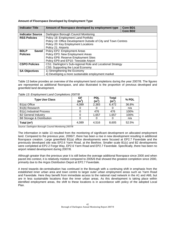## **Amount of Floorspace Developed by Employment Type**

| <b>Indicator Title</b>                               | Amount of floorspace developed by employment type              | Core BD1<br><b>Core BD2</b> |  |  |  |  |  |
|------------------------------------------------------|----------------------------------------------------------------|-----------------------------|--|--|--|--|--|
| <b>Indicator Source</b>                              | Darlington Borough Council Monitoring                          |                             |  |  |  |  |  |
| <b>RSS Policies</b>                                  | Policy 18: Employment Land Portfolio                           |                             |  |  |  |  |  |
|                                                      | Policy 19: Office Development Outside of City and Town Centres |                             |  |  |  |  |  |
|                                                      | Policy 20: Key Employment Locations                            |                             |  |  |  |  |  |
|                                                      | Policy 21: Airports                                            |                             |  |  |  |  |  |
| <b>BDLP</b><br><b>Saved</b>                          | Policy EP2: Employment Areas                                   |                             |  |  |  |  |  |
| <b>Policies</b>                                      | Policy EP3: New Employment Areas                               |                             |  |  |  |  |  |
|                                                      | Policy EP8: Reserve Employment Sites                           |                             |  |  |  |  |  |
|                                                      | Policy EP9 and EP10: Teesside Airport                          |                             |  |  |  |  |  |
| <b>CSPO Policies</b>                                 | CS1: Darlington's Sub-regional Role and Locational Strategy    |                             |  |  |  |  |  |
|                                                      | CS5: Supporting the Local Economy                              |                             |  |  |  |  |  |
| 1) Strengthening the Economy<br><b>SA Objectives</b> |                                                                |                             |  |  |  |  |  |
|                                                      | 4) Developing a more sustainable employment market             |                             |  |  |  |  |  |

Table 13 below provides an overview of the employment land completions during the year 2007/8. The figures are represented as additional floorspace, and also illustrated is the proportion of previous developed and greenfield land development.

| Table 13: Employment Land Completions 2007/8 |  |  |
|----------------------------------------------|--|--|

| <b>Type Use Class</b>                | GF<br>$(\mathsf{m}^2)$ | <b>PDL</b><br>$(m^2)$ | <b>Total</b><br>(m <sup>2</sup> ) | % PDL |
|--------------------------------------|------------------------|-----------------------|-----------------------------------|-------|
| B <sub>1</sub> (a) Office            | 4,089                  | 2,383                 | 6,472                             | 36.8% |
| B <sub>1</sub> (b) Research          |                        |                       |                                   | n/a   |
| B1(c) Industrial Process             |                        | 476                   | 476                               | 100%  |
| <b>B2 General Industry</b>           |                        | 1.657                 | 1.657                             | 100%  |
| <b>B8 Storage &amp; Distribution</b> |                        |                       |                                   | n/a   |
| Total $(m2)$                         | 4,089                  | 4.516                 | 8,605                             | 52.5% |

*Source: Darlington Borough Council Monitoring 2007/8* 

The information in table 13 resulted from the monitoring of significant development on allocated employment land. Compared to the previous year, 2006/7, there has been a rise in new development resulting in additional floorspace creation. Large greenfield B1(a) office developments were focused at EP2.7 Faverdale and the previously developed site was EP2.6 Yarm Road, at the Beehive. Smaller scale B1(c) and B2 developments were completed at EP2.2 Forge Way, EP2.6 Yarm Road and EP2.7 Faverdale. Specifically, there has been no airport related development during 2007/8.

Although greater than the previous year it is still below the average additional floorspace since 2000 and when paced into context, it is relatively modest compared to 2005/6 that showed the greatest completion since 2000, primarily due to the Argos Distribution Depot at EP2.7 Faverdale.

A trend towards de-centralisation has continued in the Borough with a continuing shift in emphasis from the established inner urban area and town centre to larger outer urban employment areas such as Yarm Road and Faverdale. Here they benefit from immediate access to the national road network in the A1 and A66, but are in less sustainable locations than the inner urban areas. As this development is taking place within identified employment areas, the shift to these locations is in accordance with policy of the adopted Local Plan.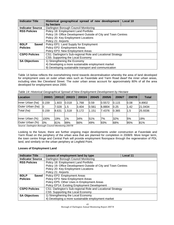| <b>Indicator Title</b>  | Historical geographical spread of new development<br><b>Local 10</b><br>by hectare |  |  |  |  |  |  |  |
|-------------------------|------------------------------------------------------------------------------------|--|--|--|--|--|--|--|
| <b>Indicator Source</b> | Darlington Borough Council Monitoring                                              |  |  |  |  |  |  |  |
| <b>RSS Policies</b>     | Policy 18: Employment Land Portfolio                                               |  |  |  |  |  |  |  |
|                         | Policy 19: Office Development Outside of City and Town Centres                     |  |  |  |  |  |  |  |
|                         | Policy 20: Key Employment Locations                                                |  |  |  |  |  |  |  |
|                         | Policy 21: Airports                                                                |  |  |  |  |  |  |  |
| <b>BDLP</b><br>Saved    | Policy EP1: Land Supply for Employment                                             |  |  |  |  |  |  |  |
| <b>Policies</b>         | Policy EP2: Employment Areas                                                       |  |  |  |  |  |  |  |
|                         | Policy EP3: New Employment Areas                                                   |  |  |  |  |  |  |  |
| <b>CSPO Policies</b>    | CS1: Darlington's Sub-regional Role and Locational Strategy                        |  |  |  |  |  |  |  |
|                         | CS5: Supporting the Local Economy                                                  |  |  |  |  |  |  |  |
| <b>SA Objectives</b>    | 1) Strengthening the Economy                                                       |  |  |  |  |  |  |  |
|                         | 4) Developing a more sustainable employment market                                 |  |  |  |  |  |  |  |
|                         | 9) Developing sustainable transport and communication                              |  |  |  |  |  |  |  |

Table 14 below reflects the overwhelming trend towards decentralisation whereby the area of land developed for employment uses on outer urban sites such as Faverdale and Yarm Road dwarf the inner urban areas, including sites like Cleveland Street. The outer urban areas account for approximately 80% of all the area developed for employment since 2000.

| Location         | 2000/1 | 2001/2 | 2002/3 | 2003/4 | 2004/5 | 2005/6           | 2006/7 | 2007/8 | Total   |
|------------------|--------|--------|--------|--------|--------|------------------|--------|--------|---------|
| Inner Urban (ha) | 0.159  | 1.603  | 0.018  | 1.768  | 0.59   | $ 0.5572\rangle$ | 0.115  | 0.08   | 4.8902  |
| Outer Urban (ha) | 10     | 7.028  | 11.5   | 3.404  | 0.561  | 6.8804           | 0.25   | 1.42   | 21.0434 |
| Total (ha)       | 0.159  | 8.631  | 1.518  | 5.172  | 1.151  | 7.4376           | 0.365  | 1.5    | 25.9336 |
|                  |        |        |        |        |        |                  |        |        |         |
| Inner Urban (%)  | 100%   | 19%    | $1\%$  | 34%    | 51%    | 7%               | 32%    | 5%     | 19%     |
| Outer Urban (%)  | $0\%$  | 81%    | 99%    | 66%    | 49%    | 93%              | 68%    | 95%    | 81%     |

*Table 14: Historical Geographical Spread of New Employment Development by Hectare* 

*Source: Darlington Borough Council Monitoring 2007/8* 

Looking to the future, there are further ongoing major developments under construction at Faverdale and Yarm Road on the periphery of the urban area that are planned for completion in 2008/9. More longer term, the town centre fringe and Central Park will provide employment floorspace through the regeneration of PDL land, and similarly on the urban periphery at Lingfield Point.

## **Losses of Employment Land**

| <b>Indicator Title</b>                                      | Losses of employment land by type<br><b>Local 11</b>           |  |  |
|-------------------------------------------------------------|----------------------------------------------------------------|--|--|
| <b>Indicator Source</b>                                     | Darlington Borough Council Monitoring                          |  |  |
| Policy 18: Employment Land Portfolio<br><b>RSS Policies</b> |                                                                |  |  |
|                                                             | Policy 19: Office Development Outside of City and Town Centres |  |  |
|                                                             | Policy 20: Key Employment Locations                            |  |  |
|                                                             | Policy 21: Airports                                            |  |  |
| <b>BDLP</b><br><b>Saved</b>                                 | Policy EP2: Employment Areas                                   |  |  |
| <b>Policies</b>                                             | Policy EP3: New Employment Areas                               |  |  |
|                                                             | Policy EP5: Other Uses in Employment Areas                     |  |  |
| Policy EP14: Existing Employment Development                |                                                                |  |  |
| <b>CSPO Policies</b>                                        | CS1: Darlington's Sub-regional Role and Locational Strategy    |  |  |
|                                                             | CS5: Supporting the Local Economy                              |  |  |
| 1) Strengthening the Local Economy<br><b>SA Objectives</b>  |                                                                |  |  |
|                                                             | 4) Developing a more sustainable employment market             |  |  |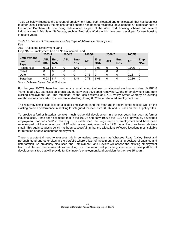Table 15 below illustrates the amount of employment land, both allocated and un-allocated, that has been lost to other uses. Historically the majority of this change has been to residential development. Of particular note is the former Darchem site now being redeveloped as part of the West Park housing scheme and several industrial sites in Middleton St George, such as Brookside Works which have been developed for new housing in recent years.

## *Table 15: Losses of Employment Land by Type of Alternative Development*  Key

AEL – Allocated Employment Land Emp NAL – Employment Use on Non-Allocated Land

|                                                         | 2003/4             |                   | 2004/5     |                   | 2005/6     |                   | 2006/7     |                   | 2007/8     |                   |
|---------------------------------------------------------|--------------------|-------------------|------------|-------------------|------------|-------------------|------------|-------------------|------------|-------------------|
| <b>Employment</b><br>Land<br><b>Loss</b><br><b>Type</b> | <b>AEL</b><br>(ha) | Emp<br><b>NAL</b> | <b>AEL</b> | Emp<br><b>NAL</b> | <b>AEL</b> | Emp<br><b>NAL</b> | <b>AEL</b> | Emp<br><b>NAL</b> | <b>AEL</b> | Emp<br><b>NAL</b> |
| Residential                                             | 0.03               | 8.7               | 0          | 4.49              |            | 3.03              | 0          |                   | 0.026      | - 0               |
| Retail                                                  | 0                  | 0                 | 0          | 0                 |            | 0                 | 0          |                   | O          | 0                 |
| Other                                                   | 0                  |                   | 0          | 0                 | 0.73       | 0                 |            |                   | 0.26       | 0                 |
| Total(ha)                                               | 0.03               | 8.7               | 0          | 4.49              | 0.73       | 3.03              | 0          | 0                 | 0.286      | 0                 |

Source: Darlington Borough Council Monitoring

For the year 2007/8 there has been only a small amount of loss on allocated employment sites. At EP2.6 Yarm Road a D1 use class children's day nursery was developed removing 0.26ha of employment land from existing employment use. The remainder of the loss occurred at EP2.1 Valley Street whereby an existing warehouse was converted to a residential dwelling, losing 0.026ha of allocated employment land.

The relatively small scale loss of allocated employment land this year and in recent times reflects well on the existing policies performance in seeking to safeguard the exclusive B1, B2 and B8 uses on the EP policy sites.

To provide a further historical context, much residential development in previous years has been at former industrial sites. It has been estimated that in the 1980's and early 1990's over 120 ha of previously developed employment land was 'lost' in this way. It is established that large areas of employment land have been redeveloped but the amount post 1997 within areas designated in the 1997 Local Plan has been relatively small. This again suggests policy has been successful, in that the allocations reflected locations most suitable for retention or development for employment.

There is a potential need to reassess this in centralised areas such as Whessoe Road, Valley Street and Borough Road and other sites in the portfolio where a lack of investment is creating pockets of vacancy and deterioration. As previously discussed, the Employment Land Review will assess the existing employment land portfolio and recommendations resulting from the report will provide guidance on a new portfolio of development sites that will provide for Darlington's employment land provision for the next 25 years.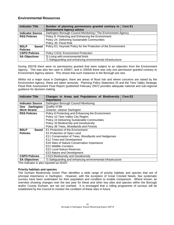## **Environmental Resources**

| <b>Indicator Title</b>                                      | Number of planning permissions granted contrary to   Core E1    |  |  |
|-------------------------------------------------------------|-----------------------------------------------------------------|--|--|
|                                                             | <b>Environment Agency advice</b>                                |  |  |
| <b>Indicator Source</b>                                     | Darlington Borough Council Monitoring / The Environment Agency  |  |  |
| <b>RSS Policies</b>                                         | Policy 8: Protecting and Enhancing the Environment              |  |  |
|                                                             | Policy 24: Delivering Sustainable Communities                   |  |  |
|                                                             | Policy 35: Flood Risk                                           |  |  |
| <b>BDLP</b><br>Saved                                        | Policy E1: Keynote Policy for the Protection of the Environment |  |  |
| <b>Policies</b>                                             |                                                                 |  |  |
| <b>CSPO Policies</b>                                        | Policy CS16: Environment Protection                             |  |  |
| 3) Living with environmental limits<br><b>SA Objectives</b> |                                                                 |  |  |
|                                                             | 7) Safeguarding and enhancing environmental infrastructure      |  |  |

During 2007/8 there were no permissions granted that were subject to an objection from the Environment Agency. This was also the case in 2006/7, and in 2005/6 there was only one permission granted contrary to Environment Agency advice. This shows that such instances in the Borough are rare.

Whilst not a major issue in Darlington, there are areas of flood risk and where concerns are raised by the Environment Agency, these are taken seriously. Planning Policy Statement 25 and the Tees Valley Strategic Flood Risk Assessment Final Report (published February 2007) provides adequate national and sub-regional guidance for decision making.

| <b>Indicator Title</b>      | Changes in Areas and Populations of Biodiversity<br>Core E2<br>Importance |  |  |  |
|-----------------------------|---------------------------------------------------------------------------|--|--|--|
| <b>Indicator Source</b>     | Darlington Borough Council Monitoring                                     |  |  |  |
| Darlington<br>One           | Quality of life                                                           |  |  |  |
| <b>Work Strand</b>          | Greener, cleaner Darlington                                               |  |  |  |
| <b>RSS Policies</b>         | Policy 8 Protecting and Enhancing the Environment                         |  |  |  |
|                             | Policy 10 Tees Valley City Region                                         |  |  |  |
|                             | Policy 24 Delivering Sustainable Communities                              |  |  |  |
|                             | Policy 33 Biodiversity and Geodiversity                                   |  |  |  |
|                             | Policy 36 Trees, Woodlands and Forests                                    |  |  |  |
| <b>Saved</b><br><b>BDLP</b> | E1 Protection of the Environment                                          |  |  |  |
| <b>Policies</b>             | E3 Protection of Open Land                                                |  |  |  |
|                             | E11 Conservation of Trees, Woodlands and Hedgerows                        |  |  |  |
|                             | E12 Trees and Development                                                 |  |  |  |
|                             | E20 Sites of Nature Conservation Importance                               |  |  |  |
|                             | E21 Wildlife Corridors                                                    |  |  |  |
|                             | E22 Local Nature Reserves                                                 |  |  |  |
|                             | E23 Nature and Development                                                |  |  |  |
| <b>CSPO Policies</b>        | <b>CS15 Biodiversity and Geodiversity</b>                                 |  |  |  |
| <b>SA Objectives</b>        | 7) Safeguarding and enhancing environmental infrastructure                |  |  |  |

This indicator is also reported as NI197.

## **Priority habitats and species**

The Durham Biodiversity Action Plan identifies a wide range of priority habitats and species that are of principal importance in Darlington. However, with the exception of Great Crested Newts, few systematic surveys have been undertaken for their population and condition to enable comparison. Where known, an overview showing changes over the last year for these and other key sites and species within the Borough and/or County Durham, are set out overleaf. It is envisaged that a rolling programme of surveys will be established by the Council to monitor the condition of these sites in future.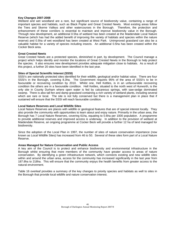## **Key Changes 2007-2008**

Wetland and wet woodland are a rare, but significant source of biodiversity value, containing a range of important species and habitats, such as Black Poplar and Great Crested Newts. Most existing areas follow the Tees and Skerne Valleys and other watercourses in the Borough. Therefore, the protection and enhancement of these corridors is essential to maintain and improve biodiversity value in the Borough. Through new development, an additional 0.5ha of wetland has been created at the Maidendale Local Nature Reserve (which has had the added benefit of improving the variety of habitats and species within the nature reserve) and 0.5ha of wet woodland has been created at West Park. Unimproved grassland can also be a valuable habitat for a variety of species including insects. An additional 0.5ha has been created within the Cocker Beck area.

## **Great Crested Newts**

Great Crested Newts are a protected species, diminished in part, by development. The Council manage a project which helps identify and monitor the locations of Great Crested Newts in the Borough to help protect the species. It also ensures new development provides adequate mitigation close to habitats. As a result of this project, a further 20 sites have been identified in the last year.

## **Sites of Special Scientific Interest (SSSI)**

SSSI's are nationally protected sites identified for their wildlife, geological and/or habitat value. There are four SSSI's in the Borough, covering 8.3ha. The Government requires 95% of the area of SSSI's to be in favourable or recovering condition by 2010. Whilst one, Hell Kettles, is in an unfavourable recovering condition the others are in a favourable condition. Hell Kettles, situated to the north west of Hurworth, is the only site in County Durham where open water is fed by calcareous springs, with saw-sedge dominated swamp. There is also tall fen and damp grassland containing a rich variety of wetland plants, including several which are rare or local. The site is not fully conserved but there is a management plan in place that if sustained will ensure that the SSSI will reach favourable condition.

## **Local Nature Reserves and Local Wildlife Sites**

Local Nature Reserves are places with wildlife or geological features that are of special interest locally. They also provide the community with opportunities to learn about and enjoy nature. Primarily in the urban area, the Borough has 7 Local Nature Reserves, covering 61ha, equating to 0.6ha per 1000 population. A programme to provide additional reserves and improved access is underway. In addition to the provision of wetland at Maidendale Reserve, an ongoing programme at Cocker Beck will provide a further 12 ha of land managed for biodiversity.

Since the adoption of the Local Plan in 1997, the number of sites of nature conservation importance (now known as Local Wildlife Sites) has increased from 46 to 50. Several of these sites form part of a Local Nature Reserve.

## **Areas Managed for Nature Conservation and Public Access**

A key aim of the Council is to protect and enhance biodiversity and environmental infrastructure in the Borough whilst ensuring that more members of the community have greater access to areas of nature conservation. By identifying a green infrastructure network, which connects existing and new wildlife sites within and around the urban area, access for the community has increased significantly in the last year from 187.8ha to 218ha. This will ensure that the community enjoys the health benefits from greater access to the natural environment.

Table 16 overleaf provides a summary of the key changes to priority species and habitats as well to sites in the Borough that provide local wildlife and nature conservation interest.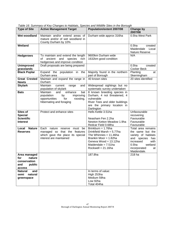| <b>Type of Site</b>                                                | rable To. Sammary or Rey Onanges to Habitate, opeolos and Whame Oltes in the Borough<br><b>Active Management Target</b>             | Population/extent 2007/08                                                                                                                                                                       | Change by<br>2007/08                                                                                                                                                                    |
|--------------------------------------------------------------------|-------------------------------------------------------------------------------------------------------------------------------------|-------------------------------------------------------------------------------------------------------------------------------------------------------------------------------------------------|-----------------------------------------------------------------------------------------------------------------------------------------------------------------------------------------|
| Wet woodland                                                       | Maintain and/or extend areas of<br>mature and/or of wet woodland in<br>County Durham by 10%                                         | Durham wide approx 316ha                                                                                                                                                                        | 0.5ha West Park                                                                                                                                                                         |
| Wetland                                                            |                                                                                                                                     |                                                                                                                                                                                                 | 0.5 <sub>ha</sub><br>created<br>Maidendale<br>Local<br>Nature Reserve                                                                                                                   |
| <b>Hedgerows</b>                                                   | To maintain and extend the length<br>ancient<br>and<br>species<br>of<br>rich<br>hedgerows and improve condition                     | 9600km Durham wide<br>1632km good condition                                                                                                                                                     | N/A                                                                                                                                                                                     |
| <b>Unimproved</b><br>grasslands                                    | Draft proposals are being prepared                                                                                                  |                                                                                                                                                                                                 | 0.5 <sub>ha</sub><br>created<br>Cocker Beck                                                                                                                                             |
| <b>Black Poplar</b>                                                | Expand the population in the<br>Durham area                                                                                         | Majority found in the northern<br>part of Borough                                                                                                                                               | Planting<br>at<br>Skerningham                                                                                                                                                           |
| <b>Great Crested</b><br><b>Newts</b>                               | Maintain and expand the range in<br>Durham                                                                                          | 40 known sites                                                                                                                                                                                  | 20 sites identified                                                                                                                                                                     |
| <b>Skylark</b>                                                     | Maintain<br>current<br>and<br>range<br>population of skylark                                                                        | Widespread sightings but no<br>systematic survey undertaken                                                                                                                                     |                                                                                                                                                                                         |
| <b>Bats</b>                                                        | Maintain<br>enhance<br>and<br>bat<br>improving<br>population<br>by<br>opportunities<br>for<br>roosting,<br>hibernating and foraging | 8 known breeding species in<br>Durham, 4 not threatened, 4<br>vulnerable<br>River Tees and older buildings<br>are the primary location in<br>Darlington                                         |                                                                                                                                                                                         |
| Sites of<br><b>Special</b><br><b>Scientific</b><br><b>Interest</b> | Protect and enhance sites                                                                                                           | Hells Kettle 3.51ha<br>Neasham Fen 2.2ha<br>Newton Ketton Meadow 1.9ha<br>Redcar Field 0.68ha                                                                                                   | Unfavourable<br>recovering<br>Favourable<br>Favourable<br>Favourable                                                                                                                    |
| <b>Nature</b><br>Local<br><b>Reserves</b><br>Area managed          | Each nature reserve must be<br>managed so that the features<br>which gave the place its special<br>interest are maintained          | Brinkburn = $1.76$ ha<br>Drinkfield Marsh = 5.77ha<br>The Whinnies $= 11.46$ ha<br>Brankin Moor = 1.82ha<br>Geneva Wood = 13.12ha<br>Maidendale = $7.51$ ha<br>Rockwell = $21.16$ ha<br>187.8ha | Total area remains<br>the same but the<br>variety of habitats<br>and species<br>has<br>with<br>increased<br>0.5 <sub>ha</sub><br>wetland<br>incorporated<br>at<br>Maidendale.<br>218 ha |
| for<br>nature<br>conservation<br>and<br>public<br>access           |                                                                                                                                     |                                                                                                                                                                                                 |                                                                                                                                                                                         |
| <b>Natural</b><br>and<br>semi<br>natural<br>greenspace             |                                                                                                                                     | In terms of value:<br>High 253ha<br>Medium 59ha<br>Low 92ha<br>Total 404ha                                                                                                                      |                                                                                                                                                                                         |

*Table 16: Summary of Key Changes to Habitats, Species and Wildlife Sites in the Borough*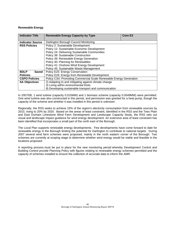## **Renewable Energy**

| <b>Indicator Title</b>  | <b>Renewable Energy Capacity by Type</b>                           | <b>Core E3</b> |  |  |  |  |  |
|-------------------------|--------------------------------------------------------------------|----------------|--|--|--|--|--|
| <b>Indicator Source</b> | Darlington Borough Council Monitoring                              |                |  |  |  |  |  |
| <b>RSS Policies</b>     | Policy 2: Sustainable Development                                  |                |  |  |  |  |  |
|                         | Policy 12: Sustainable Economic Development                        |                |  |  |  |  |  |
|                         | Policy 24: Delivering Sustainable Communities                      |                |  |  |  |  |  |
|                         | Policy 38: Sustainable Construction                                |                |  |  |  |  |  |
|                         | Policy 39: Renewable Energy Generation                             |                |  |  |  |  |  |
|                         | Policy 40: Planning for Renewables                                 |                |  |  |  |  |  |
|                         | Policy 41: Onshore Wind Energy Development                         |                |  |  |  |  |  |
|                         | Policy 45: Sustainable Waste Management                            |                |  |  |  |  |  |
| <b>BDLP</b><br>Saved    | Policy E25: Energy Conservation                                    |                |  |  |  |  |  |
| <b>Policies</b>         | Policy E26: Energy from Renewable Development                      |                |  |  |  |  |  |
| <b>CSPO Policies</b>    | Policy CS4: Promoting Commercial Scale Renewable Energy Generation |                |  |  |  |  |  |
| <b>SA Objectives</b>    | 2) Adapting to and mitigating against climate change               |                |  |  |  |  |  |
|                         | 3) Living within environmental limits                              |                |  |  |  |  |  |
|                         | 9) Developing sustainable transport and communication              |                |  |  |  |  |  |

In 2007/08, 1 wind turbine (capacity 0.015MW) and 1 biomass scheme (capacity 0.0049MW) were permitted. One wind turbine was also constructed in this period, and permission was granted for a heat pump, though the capacity of the scheme and whether it was installed in this period is unknown.

Regionally, the RSS seeks to achieve 10% of the region's electricity consumption from renewable sources by 2010, rising to 20% by 2020. Based on the areas of least constraint, identified in the RSS and the Tees Plain and East Durham Limestone Wind Farm Development and Landscape Capacity Study, the RSS sets out visual and landscape impact guidance for wind energy development. An extensive area of least constraint has been identified that incorporates a small part of the north east of the Borough.

The Local Plan supports renewable energy developments. Few developments have come forward to date for renewable energy in the Borough limiting the potential for Darlington to contribute to national targets. During 2007 several wind farm schemes were proposed, mainly in the north eastern corner of the Borough. Two schemes are currently at scoping stage to determine whether wind energy would be viable and feasible in the locations proposed.

A reporting process must be put in place for the new monitoring period whereby Development Control and Building Control provide Planning Policy with figures relating to renewable energy schemes permitted and the capacity of schemes installed to ensure the collection of accurate data to inform the AMR.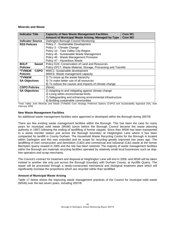## **Minerals and Waste**

| <b>Indicator Title</b>                | <b>Capacity of New Waste Management Facilities</b><br>Core W1<br>Amount of Municipal Waste Arising, Managed by Type<br>Core W <sub>2</sub> |  |
|---------------------------------------|--------------------------------------------------------------------------------------------------------------------------------------------|--|
| <b>Indicator Source</b>               | Darlington Borough Council Monitoring                                                                                                      |  |
| <b>RSS Policies</b>                   | Policy 2 - Sustainable Development                                                                                                         |  |
|                                       | Policy 3 - Climate Change                                                                                                                  |  |
|                                       | Policy 10 - Tees Valley City-Region                                                                                                        |  |
|                                       | Policy 45 - Sustainable Waste Management                                                                                                   |  |
|                                       | Policy 46 - Waste Management Provision                                                                                                     |  |
|                                       | Policy 47 - Hazardous Waste                                                                                                                |  |
| <b>BDLP</b><br><b>Saved</b>           | Policy E24: Conservation of Land and Resources                                                                                             |  |
| <b>Policies</b>                       | Policy EP17: Waste Material, Storage, Processing and Transfer                                                                              |  |
| <b>CSPO</b><br>*TVM&W                 | MWC1: Sustainable development                                                                                                              |  |
| <b>Policies</b>                       | MWC6: Waste management capacity                                                                                                            |  |
| *TVM&W                                | 2) To move up the waste hierarchy                                                                                                          |  |
| <b>SA Objectives</b>                  | 3) To make better use of all resources                                                                                                     |  |
|                                       | 9) To reduce the causes and impacts of climate change                                                                                      |  |
| <b>CSPO Policies</b>                  | (None)                                                                                                                                     |  |
| <b>SA Objectives</b>                  | 2) Adapting to and mitigating against climate change                                                                                       |  |
| 3) Living within environmental limits |                                                                                                                                            |  |
|                                       | 7) Safeguarding and enhancing environmental infrastructure                                                                                 |  |
|                                       | 8) Building sustainable communities                                                                                                        |  |

\*Tees Valley Joint Minerals and Waste (TVM&W) Core Strategy Preferred Options (CSPO) and Sustainability Appraisal (SA), both February 2008.

## **New Waste Management Facilities**

No additional waste management facilities were approved or developed within the Borough during 2007/8.

There are few existing waste management facilities within the Borough. This has been the case for many years for municipal solid waste (MSW) (since before the Borough Council became the waste planning authority in 1997) following the ending of landfilling of former claypits. Since then MSW has been transported to a waste transfer station just across the Borough boundary at Heighington Lane where it has been compacted for landfill in County Durham. The Household Waste Recycling Centre for the Borough is located within Darlington and this was extended and its scope for recycling greatly improved two years ago. The landfilling of inert construction and demolition (C&D) and commercial and industrial (C&I) waste at the former Barmpton quarry ceased in 2005 and the site has been restored. The majority of waste management facilities within the Borough are materials recycling facilities operated by relatively small local businesses such as skiphire operators and scrap merchants.

The Council's contract for treatment and disposal at Heighington Lane will end in 2009, and MSW will be taken instead to another site only just across the Borough boundary with Durham County, at Aycliffe Quarry. The waste will be processed through a newly-constructed mechanical and biological treatment plant which will significantly increase the proportions which are recycled rather than landfilled.

## **Amount of Municipal Waste Arising**

Table 17 below shows the improving waste management practices of the Council for municipal solid waste (MSW) over the last seven years, including 2007/8.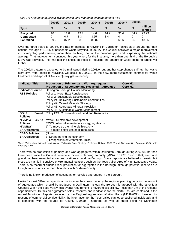|                  | 2001/2        | 2002/3 | 2003/4        | 2004/5 | 2005/6 | 2006/7        | 2007/8 |                   |
|------------------|---------------|--------|---------------|--------|--------|---------------|--------|-------------------|
| <b>Type</b>      | $\frac{0}{0}$ | $\%$   | $\frac{0}{0}$ | %      | %      | $\frac{0}{0}$ | %      | million<br>tonnes |
| Recycled         | 10.8          | 11.8   | 13.4          | 14.6   | 14.7   | 31.4          | 34.7   | 23.29             |
| <b>Composted</b> |               | 0.7    | 3.3           | 3.55   | 3.4    |               |        |                   |
| Landfilled       | 89.2          | 87.2   | 83.3          | 81.82  | 81.9   | 68.6          | 65.3   | 43.85             |

*Table 17: Amount of municipal waste arising, and managed by management type* 

Over the three years to 2004/5, the rate of increase in recycling in Darlington ranked at or around the then national average of 13.4% of household waste recycled. In 2006/7, the Council achieved a major improvement in its recycling performance, more than doubling that of the previous year and surpassing the national average. That improvement continued this year when, for the first time, more than one-third of the Borough's MSW was recycled. This has had the knock-on effect of reducing the amount of waste going to landfill yet further.

The 2007/8 pattern is expected to be maintained during 2008/9, but another step-change shift up the waste hierarchy, from landfill to recycling, will occur in 2009/10 as the new, more sustainable contract for waste treatment and disposal at Aycliffe Quarry gets underway.

| <b>Indicator Title</b>      | <b>Production of Primary Land Won Aggregates</b>       | <b>Core M1</b>      |
|-----------------------------|--------------------------------------------------------|---------------------|
|                             | <b>Production of Secondary and Recycled Aggregates</b> | Core M <sub>2</sub> |
| <b>Indicator Source</b>     | Darlington Borough Council Monitoring                  |                     |
| <b>RSS Policies</b>         | Policy 1: North East Renaissance                       |                     |
|                             | Policy 2: Sustainable Development                      |                     |
|                             | Policy 24: Delivering Sustainable Communities          |                     |
|                             | Policy 42: Overall Minerals Strategy                   |                     |
|                             | Policy 43: Aggregate Minerals Provision                |                     |
|                             | Policy 45: Sustainable Waste Management                |                     |
| <b>BDLP</b><br><b>Saved</b> | Policy E24: Conservation of Land and Resources         |                     |
| <b>Policies</b>             |                                                        |                     |
| <b>CSPO</b><br>*TVM&W       | MWC1: Sustainable development                          |                     |
| <b>Policies</b>             | MWC2: Alternative materials for aggregates us          |                     |
| *TVM&W                      | 1) To move up the minerals hierarchy                   |                     |
| <b>SA Objectives</b>        | 3) To make better use of all resources                 |                     |
| <b>CSPO Policies</b>        | (None)                                                 |                     |
| <b>SA Objectives</b>        | 1) Strengthening the economy                           |                     |
|                             | 3) Living within environmental limits                  |                     |

\*Tees Valley Joint Minerals and Waste (TVM&W) Core Strategy Preferred Options (CSPO) and Sustainability Appraisal (SA), both February 2008.

There was no production of primary land won aggregates within Darlington Borough during 2007/08, nor has there been since the Council became a minerals planning authority (MPA) in 1997. Prior to that, sand and gravel had been extracted at various locations around the Borough. Some deposits are believed to remain, but these are mainly in sensitive environmental locations such as the Tees Valley Area of High Landscape Value. There is no record of crushed rock production for aggregates in the Borough, although potential reserves are thought to exist on its northern boundary with Durham County.

There is no known production of secondary or recycled aggregates in the Borough.

Unlike for most MPAs, no specific apportionment has been made by the regional planning body for the amount of aggregates which should be produced in Darlington. Instead the Borough is grouped with the other four Councils within the Tees Valley: this overall requirement is nevertheless still low - less than 2% of the regional apportionment. Details on aggregates sales, reserves and landbanks for the North East are contained in the Annual Monitoring Reports produced by the Regional Aggregates Working Party (NE RAWP). However, for reasons of commercial confidentiality, the information for the Tees Valley cannot be published individually and is combined with the figures for County Durham. Therefore, as well as there being no Darlington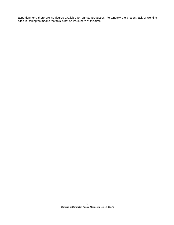apportionment, there are no figures available for annual production. Fortunately the present lack of working sites in Darlington means that this is not an issue here at this time.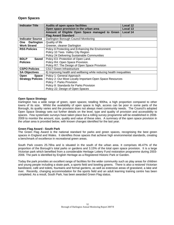## **Open Spaces**

| <b>Indicator Title</b>      | Audits of open space facilities                                      | Local 12        |  |  |
|-----------------------------|----------------------------------------------------------------------|-----------------|--|--|
|                             | Open space provision in the urban area                               | Local 13        |  |  |
|                             | Amount of Eligible Open Space managed to Green                       | <b>Local 14</b> |  |  |
|                             | <b>Flag Award Standard</b>                                           |                 |  |  |
| <b>Indicator Source</b>     | Darlington Borough Council Monitoring                                |                 |  |  |
| Darlington<br>One           | Quality of life                                                      |                 |  |  |
| <b>Work Strand</b>          | Greener, cleaner Darlington                                          |                 |  |  |
| <b>RSS Policies</b>         | Policy 8 Protecting and Enhancing the Environment                    |                 |  |  |
|                             | Policy 10 Tees Valley City Region                                    |                 |  |  |
|                             | Policy 24 Delivering Sustainable Communities                         |                 |  |  |
| <b>Saved</b><br><b>BDLP</b> | Policy E3: Protection of Open Land.                                  |                 |  |  |
| <b>Policies</b>             | Policy R4: Open Space Provision.                                     |                 |  |  |
|                             | Policy R7: The Design of Open Space Provision                        |                 |  |  |
| <b>CSPO Policies</b>        | CS17 Green Infrastructure                                            |                 |  |  |
| <b>SA Objectives</b>        | 6) Improving health and wellbeing while reducing health inequalities |                 |  |  |
| <b>Space</b><br><b>Open</b> | Policy 1: General Approach                                           |                 |  |  |
| <b>Strategy Policies</b>    | Policy 2: Our Most Locally Important Open Space Resources            |                 |  |  |
|                             | Policy 7: Parks Provision                                            |                 |  |  |
|                             | Policy 8: Standards for Parks Provision                              |                 |  |  |
|                             | Policy 22: Design of Open Spaces                                     |                 |  |  |

## **Open Space Strategy**

Darlington has a wide range of green, open spaces; totalling 900ha, a high proportion compared to other towns of its size. Whilst the availability of open space is high, access can be poor in some parts of the Borough, its quality varies and the provision does not always meet community needs. The Council's adopted Open Space Strategy sets out further details on the level, type and quality of provision and accessibility to spaces. Few systematic surveys have taken place but a rolling survey programme will be established in 2008 2009 to monitor the amount, size, quality and value of these sites. A summary of the open space provision in the urban area is provided below, with known changes identified for the last year.

## **Green Flag Award - South Park**

The Green Flag Award is the national standard for parks and green spaces, recognising the best green spaces in England and Wales. It identifies those spaces that achieve high environmental standards, creating a benchmark of excellence in recreational green areas.

South Park covers 25.76ha and is situated in the south of the urban area. It comprises 46.47% of the proportion of the Borough's total parks or gardens and 3.15% of the total open space provision. It is a large Victorian park which benefited from a considerable Heritage Lottery Fund restoration programme during 2003 2006. The park is identified by English Heritage as a Registered Historic Park or Garden.

Today the park provides an excellent range of facilities for the wider community such as play areas for children and young people including a skate park, a sports field and bowling greens. There is also a restored Victorian bandstand, café and toilets, fountains and formal gardens, as well as extensive areas of grassland, a lake and river. Recently, changing accommodation for the sports field and an adult learning training centre has been completed. As a result, South Park, has been awarded Green Flag status.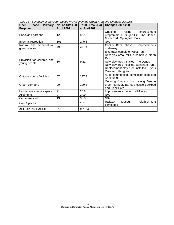| <b>Primary</b><br><b>Space</b><br>Open<br><b>Purpose</b> | No of Sites at<br><b>April 2007</b> | Total Area (Ha)<br>at April 207 | <b>Changes 2007-2008</b>                                                                                                                                                                                                      |
|----------------------------------------------------------|-------------------------------------|---------------------------------|-------------------------------------------------------------------------------------------------------------------------------------------------------------------------------------------------------------------------------|
| Parks and gardens                                        | 12                                  | 55.4                            | rolling<br>Ongoing<br>improvement<br>programme at Sugar Hill, The Denes,<br>North Park, Springfield Park                                                                                                                      |
| Informal recreation                                      | 101                                 | 140.6                           | N/A                                                                                                                                                                                                                           |
| Natural and semi-natural<br>green spaces                 | 30                                  | 247.6                           | Cocker Beck phase 1 improvements<br>underway                                                                                                                                                                                  |
| Provision for children and<br>young people               | 16                                  | 9.21                            | Bike track complete, West Park<br>New play area, MUGA complete, North<br>Park<br>New play area installed, The Denes<br>New play area installed, Bensham Park<br>Replacement play area installed, Fryers<br>Crescent, Haughton |
| Outdoor sports facilities                                | 67                                  | 297.9                           | Audit commenced, completion expected<br>April 2009                                                                                                                                                                            |
| Green corridors                                          | 20                                  | 109.3                           | Ongoing footpath work along Skerne<br>green corridor, Barnard castle trackbed<br>and Black Path                                                                                                                               |
| Landscape amenity space.                                 | 21                                  | 25.8                            | Improvements made to all 4 sites                                                                                                                                                                                              |
| <b>Allotments</b>                                        | 27                                  | 34.9                            | N/A                                                                                                                                                                                                                           |
| Cemeteries, etc.                                         | 13                                  | 38.8                            | N/A                                                                                                                                                                                                                           |
| <b>Civic Spaces</b>                                      | 3                                   | 1.7                             | refurbishment<br>Railway<br>Museum<br>completed                                                                                                                                                                               |
| <b>ALL OPEN SPACES</b>                                   | 310                                 | 961.24                          |                                                                                                                                                                                                                               |

*Table 18 : Summary of the Open Space Provision in the Urban Area and Changes 2007/08.*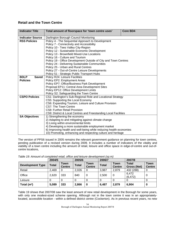## **Retail and the Town Centre**

| Total amount of floorspace for 'town centre uses'<br><b>Core BD4</b>          |
|-------------------------------------------------------------------------------|
| Darlington Borough Council Monitoring                                         |
| Policy 4 - The Sequential Approach to Development                             |
| Policy 7 - Connectivity and Accessibility                                     |
| Policy 10 - Tees Valley City-Region                                           |
| Policy 12 - Sustainable Economic Development                                  |
| Policy 13 - Brownfield Mixed-Use Locations                                    |
| Policy 16 - Culture and Tourism                                               |
| Policy 19 - Office Development Outside of City and Town Centres               |
| Policy 24 - Delivering Sustainable Communities                                |
| Policy 25 - Urban and Rural Centres                                           |
| Policy 27 - Out-of-Centre Leisure Developments                                |
| Policy 51 - Strategic Public Transport Hubs                                   |
| Policy R24: Leisure Facilities                                                |
| Policy EP2: Employment Areas                                                  |
| Policy EP7: Office/Business Park Development                                  |
| Proposal EP11: Central Area Development Sites                                 |
| Policy EP12: Office Development Limits                                        |
| Policy S2: Safeguarding the Town Centre                                       |
| CS1: Darlington's Sub-Regional Role and Locational Strategy                   |
| CS5: Supporting the Local Economy                                             |
| CS6: Expanding Tourism, Leisure and Culture Provision<br>CS7: The Town Centre |
| <b>CS8: Further Retail Provision</b>                                          |
| CS9: District & Local Centres and Freestanding Local Facilities               |
| 1) Strengthening the economy                                                  |
| 2) Adapting to and mitigating against climate change                          |
| 3) Living within environmental limits                                         |
| 4) Developing a more sustainable employment market                            |
| 6) Improving health and well-being while reducing health economies            |
| 10) Promoting, enhancing and respecting culture and heritage                  |
|                                                                               |

The version of PPS6 issued in 2005 remains the relevant government guidance on planning for town centres, pending publication of a revised version during 2009. It includes a number of indicators of the vitality and viability of a town centre including the amount of retail, leisure and office space in edge-of-centre and out-ofcentre locations,

|  | Table 19: Amount of completed retail, office and leisure development (sq m) |  |  |
|--|-----------------------------------------------------------------------------|--|--|
|  |                                                                             |  |  |

|                         | 2004/5 |                       | 2005/6 |                       | 2006/7       |                       | 2007/8               |                       |
|-------------------------|--------|-----------------------|--------|-----------------------|--------------|-----------------------|----------------------|-----------------------|
| <b>Development Type</b> | Total  | Town<br><b>Centre</b> | Total  | Town<br><b>Centre</b> | <b>Total</b> | Town<br><b>Centre</b> | Total<br>Gross (Net) | Town<br><b>Centre</b> |
| Retail                  | 2,469  | 0                     | 2,026  | 0                     | 3,987        | 2,879                 | 432 (288)            | 0                     |
| Office                  | 2,620  | 333                   | 840    | 0                     | 2,500        | 0                     | 6,472<br>(6, 472)    | 0                     |
| Leisure                 |        |                       |        | O                     | 0            |                       |                      |                       |
| Total $(m2)$            | 5,089  | 333                   | 2,866  | $\bf{0}$              | 6,487        | 2,879                 | 6,904                | 0                     |

Table 19 shows that 2007/08 saw the least amount of new retail development in the Borough for some years, with only one modest-sized scheme opening. Although not in the town centre it was in an appropriatelylocated, accessible location - within a defined district centre (Cockerton). As in previous recent years, no new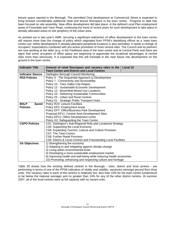leisure space opened in the Borough. The permitted Oval development at Commercial Street is expected to bring forward considerable additional retail and leisure floorspace in the town centre. Progress to date has been focused on site assembly. New office development did take place, in the defined Local Plan employment areas of Faverdale and Yarm Road, continuing the trend of recent years for such development to take place in already allocated areas on the periphery of the urban area.

As pointed out in last year's AMR, securing a significant redirection of office development to the town centre will require more than the change of policy which originated from PPS6's identifying offices as a 'main town centre use' whilst development in already-allocated peripheral locations is also permitted. It needs a change of occupiers' expectations combined with pro-active promotion of more central sites. The Council and its partners are now working at the latter (e.g. in the Feethams area of the town centre and at Central Park) and there are signs that some occupiers of office space are beginning to appreciate the locational advantages of central sites more than previously. It is expected that this will translate in the near future into development on the ground in the town centre.

| <b>Indicator Title</b>      | Amount of retail floorspace and vacancy rates in the<br>Local 15   |
|-----------------------------|--------------------------------------------------------------------|
|                             | <b>Town Centre and District and Local Centres</b>                  |
| <b>Indicator Source</b>     | Darlington Borough Council Monitoring                              |
| <b>RSS Policies</b>         | Policy 4 - The Sequential Approach to Development                  |
|                             | Policy 7 - Connectivity and Accessibility                          |
|                             | Policy 10 - Tees Valley City-Region                                |
|                             | Policy 12 - Sustainable Economic Development                       |
|                             | Policy 13 - Brownfield Mixed-Use Locations                         |
|                             | Policy 24 - Delivering Sustainable Communities                     |
|                             | Policy 25 - Urban and Rural Centres                                |
|                             | Policy 51 - Strategic Public Transport Hubs                        |
| <b>BDLP</b><br><b>Saved</b> | Policy R24: Leisure Facilities                                     |
| <b>Policies</b>             | Policy EP2: Employment Areas                                       |
|                             | Policy EP7: Office/Business Park Development                       |
|                             | Proposal EP11: Central Area Development Sites                      |
|                             | Policy EP12: Office Development Limits                             |
|                             | Policy S2: Safeguarding the Town Centre                            |
| <b>CSPO Policies</b>        | CS1: Darlington's Sub-Regional Role and Locational Strategy        |
|                             | CS5: Supporting the Local Economy                                  |
|                             | CS6: Expanding Tourism, Leisure and Culture Provision              |
|                             | CS7: The Town Centre                                               |
|                             | <b>CS8: Further Retail Provision</b>                               |
|                             | CS9: District & Local Centres and Freestanding Local Facilities    |
| <b>SA Objectives</b>        | 1) Strengthening the economy                                       |
|                             | 2) Adapting to and mitigating against climate change               |
|                             | 3) Living within environmental limits                              |
|                             | 4) Developing a more sustainable employment market                 |
|                             | 6) Improving health and well-being while reducing health economies |
|                             | 10) Promoting, enhancing and respecting culture and heritage       |

Table 20 shows how the existing defined centres in the Borough - town, district and local centres - are performing in terms of one of the PPS6 indicators of vitality and viability, vacancies amongst ground floor shop units. The vacancy rates in each of the centres is relatively low, less than 10% for the town centre (understood to be below the national average) and no greater than 14% for any of the other district centres. At summer 2007, all of the local centres were at full capacity with no vacant units.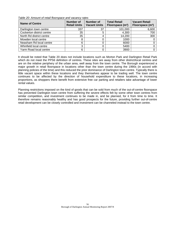*Table 20: Amount of retail floorspace and vacancy rates* 

| <b>Name of Centre</b>     | Number of<br><b>Retail Units</b> | Number of<br><b>Vacant Units</b> | <b>Total Retail</b><br>Floorspace (m <sup>2</sup> ) | <b>Vacant Retail</b><br>Floorspace (m <sup>2</sup> ) |
|---------------------------|----------------------------------|----------------------------------|-----------------------------------------------------|------------------------------------------------------|
| Darlington town centre    | 337                              | 37                               | 101,000                                             | 6,600                                                |
| Cockerton district centre | 35                               |                                  | 4,300                                               | 700                                                  |
| North Rd district centre  | 35                               |                                  | 14,200                                              | 300                                                  |
| Mowden local centre       | 8                                |                                  | 1000                                                |                                                      |
| Neasham Rd local centre   | 6                                |                                  | 6000                                                |                                                      |
| Whinfield local centre    | 3                                |                                  | 5400                                                |                                                      |
| Yarm Road local centre    | 6                                |                                  | 3900                                                |                                                      |

It should be noted that Table 20 does not include locations such as Morton Park and Darlington Retail Park which do not meet the PPS6 definition of centres. These sites are away from other district/local centres and are on the relative periphery of the urban area, well away from the town centre. The Borough experienced a major growth in retail floorspace in locations other than the town centre during the 1990s (in accord with planning policies of the time) and this reduced the prior dominance of Darlington town centre. Typically there is little vacant space within these locations and they themselves appear to be trading well. The town centre continues to be affected by the direction of household expenditure to these locations, in increasing proportions, as shoppers there benefit from extensive free car parking and retailers take advantage of lower rental values.

Planning restrictions imposed on the kind of goods that can be sold from much of the out-of-centre floorspace has prevented Darlington town centre from suffering the severe effects felt by some other town centres from similar competition, and investment continues to be made in, and be planned, for it from time to time. It therefore remains reasonably healthy and has good prospects for the future, providing further out-of-centre retail development can be closely controlled and investment can be channeled instead to the town centre.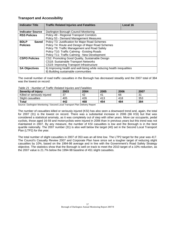## **Transport and Accessibility**

| <b>Indicator Title</b>      | <b>Traffic Related Injuries and Fatalities</b>                        | Local 16 |
|-----------------------------|-----------------------------------------------------------------------|----------|
|                             |                                                                       |          |
| <b>Indicator Source</b>     | Darlington Borough Council Monitoring                                 |          |
| <b>RSS Policies</b>         | Policy 49 - Regional Transport Corridors                              |          |
|                             | Policy 53 - Demand Management Measures                                |          |
| <b>BDLP</b><br><b>Saved</b> | Policy T3: Justification for Major Road Schemes                       |          |
| <b>Policies</b>             | Policy T4: Route and Design of Major Road Schemes                     |          |
|                             | Policy T9: Traffic Management and Road Safety                         |          |
|                             | Policy T10: Traffic Calming - Existing Roads                          |          |
|                             | Policy T11: Traffic Calming - New Development                         |          |
| <b>CSPO Policies</b>        | CS2: Promoting Good Quality, Sustainable Design                       |          |
|                             | <b>CS18: Sustainable Transport Networks</b>                           |          |
|                             | CS19: Improving Transport Infrastructure                              |          |
| <b>SA Objectives</b>        | 6) Improving health and well-being while reducing health inequalities |          |
|                             | 8) Building sustainable communities                                   |          |

The overall number of road traffic casualties in the Borough has decreased steadily and the 2007 total of 384 was the lowest on record:

| Table 21: Number of Traffic Related Injuries and Fatalities |  |
|-------------------------------------------------------------|--|
|-------------------------------------------------------------|--|

| Severity of injury          | 2003 | 2004 | 2005 | 2006 | 2007          |
|-----------------------------|------|------|------|------|---------------|
| Killed or seriously injured | 37   | 42   | 41   | 66   | $\sim$<br>ູບ. |
| Slight casualties           | 405  | 426  | 413  | 418  | 353           |
| Total                       | 442  | 468  | 454  | 484  | 384           |

Source: Darlington Monitoring / Second Local Transport Plan Delivery Report

The number of casualties killed or seriously injured (KSI) has also seen a downward trend and, again, the total for 2007 (31) is the lowest on record. There was a substantial increase in 2006 (66 KSI) but that was considered a statistical anomaly, as it was completely out of step with other years. More car occupants, pedal cyclists, those aged 16-59 and motorcyclists were injured in 2006 than in previous years but this trend was not maintained in 2007. By any measure, the number of KSI casualties is low and the Borough is in the best quartile nationally. The 2007 number (31) is also well below the target (40) set in the Second Local Transport Plan (LTP2) for the year.

The total number of slight casualties in 2007 of 353 was an all time low. The LTP2 target for the year was 417. The Council's Casualty Review 2007 and Corporate Plan have since set a tougher target of reducing slight casualties by 10%, based on the 1994-98 average and in line with the Government's Road Safety Strategy objective. The statistics show that the Borough is well on track to meet the 2010 target of a 10% reduction, as the 2007 value is 21.7% below the 1994-98 baseline of 451 slight casualties.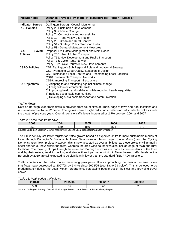| <b>Indicator Title</b>      | Distance Travelled by Mode of Transport per Person<br><b>Local 17</b> |
|-----------------------------|-----------------------------------------------------------------------|
|                             | per Annum                                                             |
| <b>Indicator Source</b>     | Darlington Borough Council Monitoring                                 |
| <b>RSS Policies</b>         | Policy 2 - Sustainable Development                                    |
|                             | Policy 3 - Climate Change                                             |
|                             | Policy 7 - Connectivity and Accessibility                             |
|                             | Policy 10 - Tees Valley City-Region                                   |
|                             | Policy 25 - Urban and Rural Centres                                   |
|                             | Policy 51 - Strategic Public Transport Hubs                           |
|                             | Policy 53 - Demand Management Measures                                |
| <b>BDLP</b><br><b>Saved</b> | Proposal T7: Traffic Management and Main Roads                        |
| <b>Policies</b>             | Policy T30: Use of Public Transport                                   |
|                             | Policy T31: New Development and Public Transport                      |
|                             | Policy T36: Cycle Route Network                                       |
|                             | Policy T37: Cycle Routes in New Developments                          |
| <b>CSPO Policies</b>        | CS1: Darlington's Sub Regional Role and Locational Strategy           |
|                             | CS2: Promoting Good Quality, Sustainable Design                       |
|                             | CS9: District and Local Centres and Freestanding Local Facilities     |
|                             | <b>CS18: Sustainable Transport Networks</b>                           |
|                             | CS19: Improving Transport Infrastructure                              |
| <b>SA Objectives</b>        | 2) Adapting to and mitigating against climate change                  |
|                             | 3) Living within environmental limits                                 |
|                             | 6) Improving health and well-being while reducing health inequalities |
|                             | 8) Building sustainable communities                                   |
|                             | 9) Developing sustainable transport and communication                 |

## **Traffic Flows**

Data on Borough-wide traffic flows is provided from count sites at urban, edge of town and rural locations and is summarised in Table 22 below. The figures show a slight reduction in vehicular traffic, which contrasts with the growth of previous years. Overall, vehicle traffic levels increased by 2.7% between 2004 and 2007

## *Table 22: Area wide traffic flows*

| מחמ |                                                                                             | へへへに | nnne | へへへっ<br>400 L |  |  |
|-----|---------------------------------------------------------------------------------------------|------|------|---------------|--|--|
| oг  | ה ג                                                                                         |      |      | n70           |  |  |
|     | Course: Derlington Persuah Council Monitoring / Cooped Local Transport Dian Delivery Penert |      |      |               |  |  |

Source: Darlington Borough Council Monitoring / Second Local Transport Plan Delivery Report

The LTP2 actually set lower targets for traffic growth based on expected shifts to more sustainable modes of travel through Darlington's Sustainable Travel Demonstration Town project (Local Motion) and the Cycling Demonstration Town project. However, this is now accepted as over-ambitious, as these projects will primarily affect shorter journeys within the town, whereas the area-wide count sites also include edge of town and rural locations. The majority of trips through the outer and Borough cordons are made by non-residents of the town and by their nature, tend to be longer distance than trips made within it. Nevertheless traffic levels in the Borough by 2010 are still expected to be significantly lower than the standard (TEMPRO) trajectory.

Traffic counters on the radial routes, measuring peak period flows approaching the inner urban area, show that flows have decreased at 2007/08 by 5.44% since 2004/05 (see Table 23 below). This is believed to be predominantly due to the Local Motion programme, persuading people out of their car and providing travel choice.

## *Table 23: Peak period traffic flows*

| 2004/05 | 2005/06 | 2006/07 | $200700$<br>7700               |
|---------|---------|---------|--------------------------------|
| 5533    | na      | na      | $\Gamma$ <sup>00</sup><br>ാ∠ാ∠ |

Source: Darlington Borough Council Monitoring / Second Local Transport Plan Delivery Report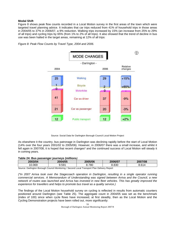## **Modal Shift**

Figure 8 shows peak flow counts recorded in a Local Motion survey in the first areas of the town which were targeted travel planning advice. It indicates that car trips reduced from 41% of household trips in those areas in 2004/05 to 37% in 2006/07, a 9% reduction. Walking trips increased by 15% (an increase from 25% to 29% of all trips) and cycling trips by 65% (from 1% to 2% of all trips). It also showed that the trend of decline in bus use was been halted in the target areas, remaining at 12% of all trips:





Source: Social Data for Darlington Borough Council Local Motion Project

As elsewhere it the country, bus patronage in Darlington was declining rapidly before the start of Local Motion (14% over the four years 2001/02 to 2005/06). However, in 2006/07 there was a small increase, and whilst it fell again in 2007/08, it is hoped that recent changes\* and the continued success of Local Motion will steady it in coming years.

**Table 24: Bus passenger journeys (millions***)* 

| 2003/04                                                                                    | 2004/05 | 2005/06 | 2006/07 | 2007/08 |
|--------------------------------------------------------------------------------------------|---------|---------|---------|---------|
| 10.069                                                                                     | 9.591   | 3.780   | 3.830   | 8.614   |
| Cause: Derlington Dereugh Causeil Meniteriae / Caesad Local Transport Dlan Delivery Depart |         |         |         |         |

Source: Darlington Borough Council Monitoring / Second Local Transport Plan Delivery Report

*(\*In 2007 Arriva took over the Stagecoach operation in Darlington, resulting in a single operator running commercial services. A Memorandum of Understanding was signed between Arriva and the Council, a new network of routes was launched and Arriva has invested in new fleet vehicles. This has greatly improved the experience for travellers and helps to promote bus travel as a quality service.)* 

The findings of the Local Motion household survey on cycling is reflected in results from automatic counters positioned around Darlington (see Table 25). The aggregate count in 2004/05 was set as the benchmark (index of 100) since when cycle flows have increased, at first steadily, then as the Local Motion and the Cycling Demonstration projects have been rolled out, more significantly: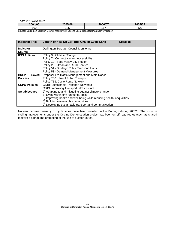*Table 25: Cycle flows* 

|     | 2005/06<br>70. | 2006/07 | 2007/08 |
|-----|----------------|---------|---------|
| 100 | ۱∩۵<br>◡       | $-1$    | .       |

Source: Darlington Borough Council Monitoring / Second Local Transport Plan Delivery Report

| <b>Indicator Title</b>      | Length of New No Car, Bus Only or Cycle Lane<br><b>Local 18</b>       |  |  |
|-----------------------------|-----------------------------------------------------------------------|--|--|
| <b>Indicator</b>            | Darlington Borough Council Monitoring                                 |  |  |
| <b>Source</b>               |                                                                       |  |  |
| <b>RSS Policies</b>         | Policy 3 - Climate Change                                             |  |  |
|                             | Policy 7 - Connectivity and Accessibility                             |  |  |
|                             | Policy 10 - Tees Valley City-Region                                   |  |  |
|                             | Policy 25 - Urban and Rural Centres                                   |  |  |
|                             | Policy 51 - Strategic Public Transport Hubs                           |  |  |
|                             | Policy 53 - Demand Management Measures                                |  |  |
| <b>BDLP</b><br><b>Saved</b> | Proposal T7: Traffic Management and Main Roads                        |  |  |
| <b>Policies</b>             | Policy T30: Use of Public Transport                                   |  |  |
|                             | Policy T36: Cycle Route Network                                       |  |  |
| <b>CSPO Policies</b>        | <b>CS18: Sustainable Transport Networks</b>                           |  |  |
|                             | CS19: Improving Transport Infrastructure                              |  |  |
| <b>SA Objectives</b>        | 2) Adapting to and mitigating against climate change                  |  |  |
|                             | 3) Living within environmental limits                                 |  |  |
|                             | 6) Improving health and well-being while reducing health inequalities |  |  |
|                             | 8) Building sustainable communities                                   |  |  |
|                             | 9) Developing sustainable transport and communication                 |  |  |

No new car-free bus-only or cycle lanes have been installed in the Borough during 2007/8. The focus in cycling improvements under the Cycling Demonstration project has been on off-road routes (such as shared foot/cycle paths) and promoting of the use of quieter routes.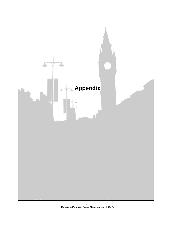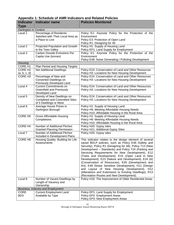| <b>Indicator</b>                         | <b>Indicator name</b>                                                                         | <b>Policies Monitored</b>                                                                                                                                                                                                                                                                                                                                                                                                                                                                                                                                                                                                                                             |  |  |  |
|------------------------------------------|-----------------------------------------------------------------------------------------------|-----------------------------------------------------------------------------------------------------------------------------------------------------------------------------------------------------------------------------------------------------------------------------------------------------------------------------------------------------------------------------------------------------------------------------------------------------------------------------------------------------------------------------------------------------------------------------------------------------------------------------------------------------------------------|--|--|--|
| <b>Type</b>                              |                                                                                               |                                                                                                                                                                                                                                                                                                                                                                                                                                                                                                                                                                                                                                                                       |  |  |  |
| Darlington in Context                    |                                                                                               |                                                                                                                                                                                                                                                                                                                                                                                                                                                                                                                                                                                                                                                                       |  |  |  |
| Local 1                                  | Percentage of Residents<br>Satisfied with Their Local Area as<br>a Place to Live              | Policy E1: Keynote Policy for the Protection of the<br>Environment<br>Policy E3: Protection of Open Land<br>Policy R1: Designing for All                                                                                                                                                                                                                                                                                                                                                                                                                                                                                                                              |  |  |  |
| Local 2                                  | Projected Population and Growth<br>in the Tees Valley                                         | Policy H1: Supply of Housing Land<br>Policy EP1: Land Supply for Employment                                                                                                                                                                                                                                                                                                                                                                                                                                                                                                                                                                                           |  |  |  |
| Local 3                                  | Carbon Dioxide Emissions Per<br>Capita Use (tonnes)                                           | Policy E1: Keynote Policy for the Protection of the<br>Environment<br>Policy E48: Noise Generating / Polluting Development                                                                                                                                                                                                                                                                                                                                                                                                                                                                                                                                            |  |  |  |
| Housing                                  |                                                                                               |                                                                                                                                                                                                                                                                                                                                                                                                                                                                                                                                                                                                                                                                       |  |  |  |
| <b>CORE H1</b>                           | Plan Period and Housing Targets                                                               |                                                                                                                                                                                                                                                                                                                                                                                                                                                                                                                                                                                                                                                                       |  |  |  |
| CORE H <sub>2</sub><br>(a, b, c, d)      | <b>Net Additional Dwellings</b>                                                               | Policy E24: Conservation of Land and Other Resources<br>Policy H3: Locations for New Housing Development                                                                                                                                                                                                                                                                                                                                                                                                                                                                                                                                                              |  |  |  |
| CORE H <sub>3</sub>                      | Percentage of New and<br>Converted Dwellings on<br>Previously Developed Land                  | Policy E24: Conservation of Land and Other Resources<br>Policy H3: Locations for New Housing Development                                                                                                                                                                                                                                                                                                                                                                                                                                                                                                                                                              |  |  |  |
| Local 4                                  | <b>Current Commitments on</b><br><b>Greenfield and Previously</b><br>Developed Land           | Policy E24: Conservation of Land and Other Resources<br>Policy H3: Locations for New Housing Development                                                                                                                                                                                                                                                                                                                                                                                                                                                                                                                                                              |  |  |  |
| Local 5                                  | Density of New Dwellings on<br><b>Completed and Committed Sites</b><br>of 5 Dwellings or More | Policy E24: Conservation of Land and Other Resources<br>Policy H3: Locations for New Housing Development                                                                                                                                                                                                                                                                                                                                                                                                                                                                                                                                                              |  |  |  |
| Local 6                                  | Average House Prices in<br>Darlington Borough                                                 | Policy H1: Supply of Housing Land<br>Policy H9: Meeting Affordable Housing Needs<br>Policy H10: Affordable Housing in the Rural Area                                                                                                                                                                                                                                                                                                                                                                                                                                                                                                                                  |  |  |  |
| CORE H <sub>5</sub>                      | <b>Gross Affordable Housing</b><br>Completions                                                | Policy H1: Supply of Housing Land<br>Policy H9: Meeting Affordable Housing Needs<br>Policy H10: Affordable Housing in the Rural Area                                                                                                                                                                                                                                                                                                                                                                                                                                                                                                                                  |  |  |  |
| CORE H4                                  | <b>Number of Additional Pitches</b><br><b>Granted Planning Permission</b>                     | Policy H20: Gypsy sites<br>Policy H21: Additional Gypsy Sites                                                                                                                                                                                                                                                                                                                                                                                                                                                                                                                                                                                                         |  |  |  |
| Local 7                                  | <b>Number of Additional Pitches</b><br>Included in Development Plans                          | Policy H20: Gypsy sites                                                                                                                                                                                                                                                                                                                                                                                                                                                                                                                                                                                                                                               |  |  |  |
| CORE H <sub>6</sub>                      | Housing Quality: Building for Life<br>Assessments                                             | This indicator relates to the design element of several<br>saved BDLP policies, such as Policy E46 (Safety and<br>Security), Policy R1 (Designing for All), Policy T13 (New<br>Development - Standards) and Policy T24 (Parking and<br>Servicing Requirements for New Development), E12<br>(Trees and Development), E15 (Open Land in New<br>Development), E23 (Nature and Development), E24 (iii)<br>(Conservation of Resources), E45 (Development and<br>Art), E49 (Noise Sensitive Development), H11 (Design<br>and Layout of New Housing Development), H12<br>(Alterations and Extensions to Existing Dwellings), R13<br>(Recreation Routes and New Development). |  |  |  |
| Local 8                                  | Number of Vacant Dwellings by<br>Length of Vacancy and                                        | Policy H16: The Improvement of Older Residential Areas                                                                                                                                                                                                                                                                                                                                                                                                                                                                                                                                                                                                                |  |  |  |
|                                          | Ownership                                                                                     |                                                                                                                                                                                                                                                                                                                                                                                                                                                                                                                                                                                                                                                                       |  |  |  |
| <b>Business, Industry and Employment</b> |                                                                                               |                                                                                                                                                                                                                                                                                                                                                                                                                                                                                                                                                                                                                                                                       |  |  |  |
| <b>CORE</b><br>BD <sub>3</sub>           | <b>Current Employment Land</b><br>Available by Type                                           | Policy EP1: Land Supply for Employment<br>Policy EP2: Employment Areas<br>Policy EP3: New Employment Areas                                                                                                                                                                                                                                                                                                                                                                                                                                                                                                                                                            |  |  |  |

# **Appendix 1: Schedule of AMR Indicators and Related Policies**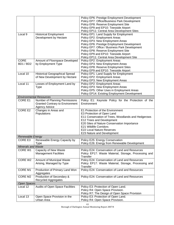|                           |                                              | Policy EP6: Prestige Employment Development                             |
|---------------------------|----------------------------------------------|-------------------------------------------------------------------------|
|                           |                                              | Policy EP7: Office/Business Park Development                            |
|                           |                                              | Policy EP8: Reserve Employment Site                                     |
|                           |                                              | Policy EP9 and EP10: Teesside Airport                                   |
|                           |                                              | Policy EP11: Central Area Development Sites                             |
| Local 9                   |                                              |                                                                         |
|                           | <b>Historical Employment</b>                 | Policy EP1: Land Supply for Employment                                  |
|                           | Development by Hectare                       | Policy EP2: Employment Areas                                            |
|                           |                                              | Policy EP3: New Employment Areas                                        |
|                           |                                              | Policy EP6: Prestige Employment Development                             |
|                           |                                              | Policy EP7: Office / Business Park Development                          |
|                           |                                              | Policy EP8: Reserve Employment Site                                     |
|                           |                                              | Policy EP9 and EP10: Teesside Airport                                   |
|                           |                                              | Policy EP11: Central Area Development Site                              |
| <b>CORE</b>               | Amount of Floorspace Developed               | Policy EP2: Employment Areas                                            |
| BD1/BD2                   | by Employment Type                           | Policy EP3: New Employment Areas                                        |
|                           |                                              | Policy EP8: Reserve Employment Sites                                    |
|                           |                                              | Policy EP9 and EP10: Teesside Airport                                   |
| Local 10                  | <b>Historical Geographical Spread</b>        | Policy EP1: Land Supply for Employment                                  |
|                           | of New Development by Hectare                | Policy EP2: Employment Areas                                            |
|                           |                                              | Policy EP3: New Employment Areas                                        |
| Local 11                  | Losses of Employment Land by                 | Policy EP2: Employment Areas                                            |
|                           | <b>Type</b>                                  | Policy EP3: New Employment Areas                                        |
|                           |                                              | Policy EP5: Other Uses in Employment Areas                              |
|                           |                                              |                                                                         |
|                           |                                              | Policy EP14: Existing Employment Development                            |
|                           | <b>Environmental Resources</b>               |                                                                         |
| CORE E1                   | Number of Planning Permissions               | Policy E1: Keynote Policy for the Protection of the                     |
|                           | <b>Granted Contrary to Environment</b>       | Environment                                                             |
|                           | <b>Agency Advice</b>                         |                                                                         |
|                           |                                              |                                                                         |
| <b>CORE E2</b>            | Changes in Areas and                         | E1 Protection of the Environment                                        |
|                           | Populations                                  | E3 Protection of Open Land                                              |
|                           |                                              | E11 Conservation of Trees, Woodlands and Hedgerows                      |
|                           |                                              | E12 Trees and Development                                               |
|                           |                                              |                                                                         |
|                           |                                              | E20 Sites of Nature Conservation Importance                             |
|                           |                                              | E21 Wildlife Corridors                                                  |
|                           |                                              | <b>E22 Local Nature Reserves</b>                                        |
|                           |                                              | E23 Nature and Development                                              |
| <b>Renewable Energy</b>   |                                              |                                                                         |
| CORE E3                   | Renewable Energy Capacity by                 | Policy E25: Energy Conservation                                         |
|                           | <b>Type</b>                                  | Policy E26: Energy from Renewable Development                           |
| <b>Minerals and Waste</b> |                                              |                                                                         |
| CORE W1                   | <b>Capacity of New Waste</b>                 | Policy E24: Conservation of Land and Resources                          |
|                           | <b>Management Facilities</b>                 | Policy EP17: Waste Material, Storage, Processing and                    |
|                           |                                              | Transfer                                                                |
| CORE W2                   | Amount of Municipal Waste                    | Policy E24: Conservation of Land and Resources                          |
|                           | Arising, Managed by Type                     | Policy EP17: Waste Material, Storage, Processing and                    |
|                           |                                              | Transfer                                                                |
| CORE M1                   |                                              |                                                                         |
|                           | Production of Primary Land Won<br>Aggregates | Policy E24: Conservation of Land and Resources                          |
|                           |                                              |                                                                         |
| CORE M2                   | Production of Secondary &                    | Policy E24: Conservation of Land and Resources                          |
|                           | Recycled Aggregates                          |                                                                         |
| <b>Open Spaces</b>        |                                              |                                                                         |
| Local 12                  | Audits of Open Space Facilities              | Policy E3: Protection of Open Land.                                     |
|                           |                                              | Policy R4: Open Space Provision.                                        |
|                           |                                              | Policy R7: The Design of Open Space Provision                           |
| Local 13                  | Open Space Provision in the<br>Urban Area    | Policy E3: Protection of Open Land.<br>Policy R4: Open Space Provision. |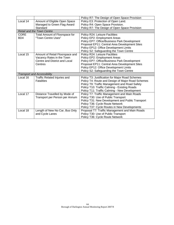|                                   |                                    | Policy R7: The Design of Open Space Provision     |  |  |
|-----------------------------------|------------------------------------|---------------------------------------------------|--|--|
| Local 14                          | Amount of Eligible Open Space      | Policy E3: Protection of Open Land.               |  |  |
|                                   | Managed to Green Flag Award        | Policy R4: Open Space Provision.                  |  |  |
|                                   | Standard                           | Policy R7: The Design of Open Space Provision     |  |  |
| <b>Retail and the Town Centre</b> |                                    |                                                   |  |  |
| <b>CORE</b>                       | Total Amount of Floorspace for     | Policy R24: Leisure Facilities                    |  |  |
| BD4                               | "Town Centre Uses"                 | Policy EP2: Employment Areas                      |  |  |
|                                   |                                    | Policy EP7: Office/Business Park Development      |  |  |
|                                   |                                    | Proposal EP11: Central Area Development Sites     |  |  |
|                                   |                                    | Policy EP12: Office Development Limits            |  |  |
|                                   |                                    | Policy S2: Safeguarding the Town Centre           |  |  |
| Local 15                          | Amount of Retail Floorspace and    | Policy R24: Leisure Facilities                    |  |  |
|                                   | Vacancy Rates in the Town          | Policy EP2: Employment Areas                      |  |  |
|                                   | Centre and District and Local      | Policy EP7: Office/Business Park Development      |  |  |
|                                   | Centres                            | Proposal EP11: Central Area Development Sites     |  |  |
|                                   |                                    | Policy EP12: Office Development Limits            |  |  |
|                                   |                                    | Policy S2: Safeguarding the Town Centre           |  |  |
|                                   | <b>Transport and Accessibility</b> |                                                   |  |  |
| Local 16                          | Traffic Related Injuries and       | Policy T3: Justification for Major Road Schemes   |  |  |
|                                   | <b>Fatalities</b>                  | Policy T4: Route and Design of Major Road Schemes |  |  |
|                                   |                                    | Policy T9: Traffic Management and Road Safety     |  |  |
|                                   |                                    | Policy T10: Traffic Calming - Existing Roads      |  |  |
|                                   |                                    | Policy T11: Traffic Calming - New Development     |  |  |
| Local 17                          | Distance Travelled by Mode of      | Policy T7: Traffic Management and Main Roads      |  |  |
|                                   | Transport per Person per Annum     | Policy T30: Use of Public Transport               |  |  |
|                                   |                                    | Policy T31: New Development and Public Transport  |  |  |
|                                   |                                    | Policy T36: Cycle Route Network                   |  |  |
|                                   |                                    | Policy T37: Cycle Routes in New Developments      |  |  |
| Local 18                          | Length of New No Car, Bus Only     | Proposal T7: Traffic Management and Main Roads    |  |  |
|                                   | and Cycle Lanes                    | Policy T30: Use of Public Transport               |  |  |
|                                   |                                    | Policy T36: Cycle Route Network                   |  |  |